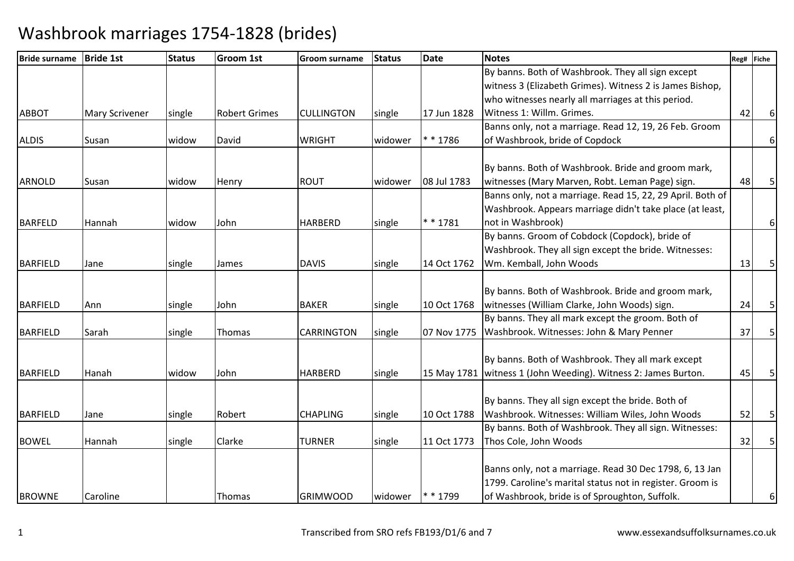| <b>Bride surname</b> | <b>Bride 1st</b>      | <b>Status</b> | Groom 1st            | <b>Groom surname</b> | <b>Status</b> | <b>Date</b> | <b>Notes</b>                                                   |    | Reg# Fiche |
|----------------------|-----------------------|---------------|----------------------|----------------------|---------------|-------------|----------------------------------------------------------------|----|------------|
|                      |                       |               |                      |                      |               |             | By banns. Both of Washbrook. They all sign except              |    |            |
|                      |                       |               |                      |                      |               |             | witness 3 (Elizabeth Grimes). Witness 2 is James Bishop,       |    |            |
|                      |                       |               |                      |                      |               |             | who witnesses nearly all marriages at this period.             |    |            |
| <b>ABBOT</b>         | <b>Mary Scrivener</b> | single        | <b>Robert Grimes</b> | <b>CULLINGTON</b>    | single        | 17 Jun 1828 | Witness 1: Willm. Grimes.                                      | 42 | 6          |
|                      |                       |               |                      |                      |               |             | Banns only, not a marriage. Read 12, 19, 26 Feb. Groom         |    |            |
| <b>ALDIS</b>         | Susan                 | widow         | David                | <b>WRIGHT</b>        | widower       | ** 1786     | of Washbrook, bride of Copdock                                 |    | 6          |
|                      |                       |               |                      |                      |               |             |                                                                |    |            |
|                      |                       |               |                      |                      |               |             | By banns. Both of Washbrook. Bride and groom mark,             |    |            |
| <b>ARNOLD</b>        | Susan                 | widow         | Henry                | <b>ROUT</b>          | widower       | 08 Jul 1783 | witnesses (Mary Marven, Robt. Leman Page) sign.                | 48 | 5          |
|                      |                       |               |                      |                      |               |             | Banns only, not a marriage. Read 15, 22, 29 April. Both of     |    |            |
|                      |                       |               |                      |                      |               |             | Washbrook. Appears marriage didn't take place (at least,       |    |            |
| <b>BARFELD</b>       | Hannah                | widow         | John                 | <b>HARBERD</b>       | single        | $* * 1781$  | not in Washbrook)                                              |    | 6          |
|                      |                       |               |                      |                      |               |             | By banns. Groom of Cobdock (Copdock), bride of                 |    |            |
|                      |                       |               |                      |                      |               |             | Washbrook. They all sign except the bride. Witnesses:          |    |            |
| <b>BARFIELD</b>      | Jane                  | single        | James                | <b>DAVIS</b>         | single        | 14 Oct 1762 | Wm. Kemball, John Woods                                        | 13 | 5          |
|                      |                       |               |                      |                      |               |             |                                                                |    |            |
|                      |                       |               |                      |                      |               |             | By banns. Both of Washbrook. Bride and groom mark,             |    |            |
| <b>BARFIELD</b>      | Ann                   | single        | John                 | <b>BAKER</b>         | single        | 10 Oct 1768 | witnesses (William Clarke, John Woods) sign.                   | 24 | 5          |
|                      |                       |               |                      |                      |               |             | By banns. They all mark except the groom. Both of              |    |            |
| <b>BARFIELD</b>      | Sarah                 | single        | Thomas               | <b>CARRINGTON</b>    | single        | 07 Nov 1775 | Washbrook. Witnesses: John & Mary Penner                       | 37 | 5          |
|                      |                       |               |                      |                      |               |             |                                                                |    |            |
|                      |                       |               |                      |                      |               |             | By banns. Both of Washbrook. They all mark except              |    |            |
| <b>BARFIELD</b>      | Hanah                 | widow         | John                 | <b>HARBERD</b>       | single        |             | 15 May 1781 witness 1 (John Weeding). Witness 2: James Burton. | 45 | 5          |
|                      |                       |               |                      |                      |               |             |                                                                |    |            |
|                      |                       |               |                      |                      |               |             | By banns. They all sign except the bride. Both of              |    |            |
| <b>BARFIELD</b>      | Jane                  | single        | Robert               | <b>CHAPLING</b>      | single        | 10 Oct 1788 | Washbrook. Witnesses: William Wiles, John Woods                | 52 | 5          |
|                      |                       |               |                      |                      |               |             | By banns. Both of Washbrook. They all sign. Witnesses:         |    |            |
| <b>BOWEL</b>         | Hannah                | single        | Clarke               | <b>TURNER</b>        | single        | 11 Oct 1773 | Thos Cole, John Woods                                          | 32 | 5          |
|                      |                       |               |                      |                      |               |             |                                                                |    |            |
|                      |                       |               |                      |                      |               |             | Banns only, not a marriage. Read 30 Dec 1798, 6, 13 Jan        |    |            |
|                      |                       |               |                      |                      |               |             | 1799. Caroline's marital status not in register. Groom is      |    |            |
| <b>BROWNE</b>        | Caroline              |               | Thomas               | <b>GRIMWOOD</b>      | widower       | * * 1799    | of Washbrook, bride is of Sproughton, Suffolk.                 |    | 6          |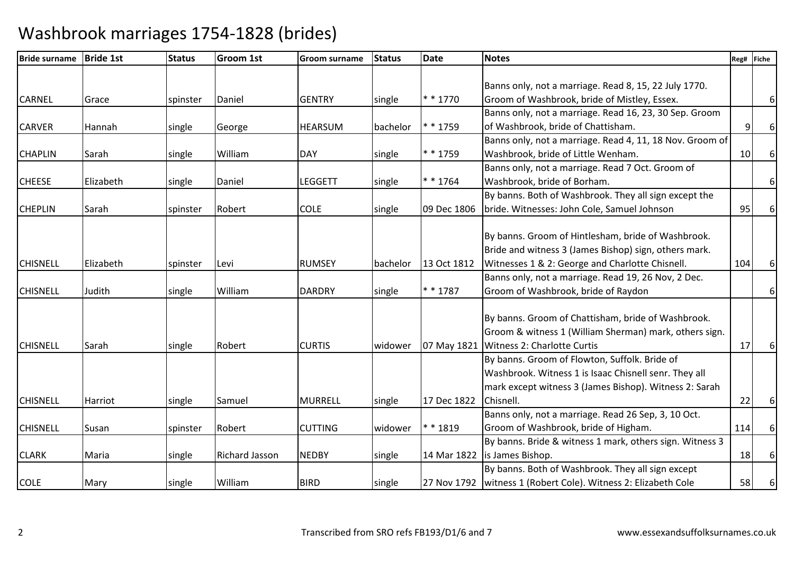| <b>Bride surname</b> | <b>Bride 1st</b> | <b>Status</b> | <b>Groom 1st</b>      | <b>Groom surname</b> | <b>Status</b> | <b>Date</b> | <b>Notes</b>                                                     | Reg# | Fiche          |
|----------------------|------------------|---------------|-----------------------|----------------------|---------------|-------------|------------------------------------------------------------------|------|----------------|
|                      |                  |               |                       |                      |               |             |                                                                  |      |                |
|                      |                  |               |                       |                      |               |             | Banns only, not a marriage. Read 8, 15, 22 July 1770.            |      |                |
| <b>CARNEL</b>        | Grace            | spinster      | Daniel                | <b>GENTRY</b>        | single        | $* * 1770$  | Groom of Washbrook, bride of Mistley, Essex.                     |      | $6 \mid$       |
|                      |                  |               |                       |                      |               |             | Banns only, not a marriage. Read 16, 23, 30 Sep. Groom           |      |                |
| <b>CARVER</b>        | Hannah           | single        | George                | <b>HEARSUM</b>       | bachelor      | $* * 1759$  | of Washbrook, bride of Chattisham.                               | 9    | 6              |
|                      |                  |               |                       |                      |               |             | Banns only, not a marriage. Read 4, 11, 18 Nov. Groom of         |      |                |
| <b>CHAPLIN</b>       | Sarah            | single        | William               | <b>DAY</b>           | single        | * * 1759    | Washbrook, bride of Little Wenham.                               | 10   | $6 \mid$       |
|                      |                  |               |                       |                      |               |             | Banns only, not a marriage. Read 7 Oct. Groom of                 |      |                |
| <b>CHEESE</b>        | Elizabeth        | single        | Daniel                | <b>LEGGETT</b>       | single        | $* * 1764$  | Washbrook, bride of Borham.                                      |      | 6 <sup>1</sup> |
|                      |                  |               |                       |                      |               |             | By banns. Both of Washbrook. They all sign except the            |      |                |
| <b>CHEPLIN</b>       | Sarah            | spinster      | Robert                | <b>COLE</b>          | single        | 09 Dec 1806 | bride. Witnesses: John Cole, Samuel Johnson                      | 95   | 6              |
|                      |                  |               |                       |                      |               |             |                                                                  |      |                |
|                      |                  |               |                       |                      |               |             | By banns. Groom of Hintlesham, bride of Washbrook.               |      |                |
|                      |                  |               |                       |                      |               |             | Bride and witness 3 (James Bishop) sign, others mark.            |      |                |
| <b>CHISNELL</b>      | Elizabeth        | spinster      | Levi                  | <b>RUMSEY</b>        | bachelor      | 13 Oct 1812 | Witnesses 1 & 2: George and Charlotte Chisnell.                  | 104  | 6              |
|                      |                  |               |                       |                      |               |             | Banns only, not a marriage. Read 19, 26 Nov, 2 Dec.              |      |                |
| <b>CHISNELL</b>      | Judith           | single        | William               | <b>DARDRY</b>        | single        | $* * 1787$  | Groom of Washbrook, bride of Raydon                              |      | 6              |
|                      |                  |               |                       |                      |               |             |                                                                  |      |                |
|                      |                  |               |                       |                      |               |             | By banns. Groom of Chattisham, bride of Washbrook.               |      |                |
|                      |                  |               |                       |                      |               |             | Groom & witness 1 (William Sherman) mark, others sign.           |      |                |
| <b>CHISNELL</b>      | Sarah            | single        | Robert                | <b>CURTIS</b>        | widower       | 07 May 1821 | Witness 2: Charlotte Curtis                                      | 17   | 6              |
|                      |                  |               |                       |                      |               |             | By banns. Groom of Flowton, Suffolk. Bride of                    |      |                |
|                      |                  |               |                       |                      |               |             | Washbrook. Witness 1 is Isaac Chisnell senr. They all            |      |                |
|                      |                  |               |                       |                      |               |             | mark except witness 3 (James Bishop). Witness 2: Sarah           |      |                |
| <b>CHISNELL</b>      | Harriot          | single        | Samuel                | <b>MURRELL</b>       | single        | 17 Dec 1822 | Chisnell.                                                        | 22   | $6 \mid$       |
|                      |                  |               |                       |                      |               |             | Banns only, not a marriage. Read 26 Sep, 3, 10 Oct.              |      |                |
| <b>CHISNELL</b>      | Susan            | spinster      | Robert                | <b>CUTTING</b>       | widower       | $* * 1819$  | Groom of Washbrook, bride of Higham.                             | 114  | 6 <sup>1</sup> |
|                      |                  |               |                       |                      |               |             | By banns. Bride & witness 1 mark, others sign. Witness 3         |      |                |
| <b>CLARK</b>         | Maria            | single        | <b>Richard Jasson</b> | <b>NEDBY</b>         | single        | 14 Mar 1822 | is James Bishop.                                                 | 18   | $6 \mid$       |
|                      |                  |               |                       |                      |               |             | By banns. Both of Washbrook. They all sign except                |      |                |
| <b>COLE</b>          | Mary             | single        | William               | <b>BIRD</b>          | single        |             | 27 Nov 1792   witness 1 (Robert Cole). Witness 2: Elizabeth Cole | 58   | 6              |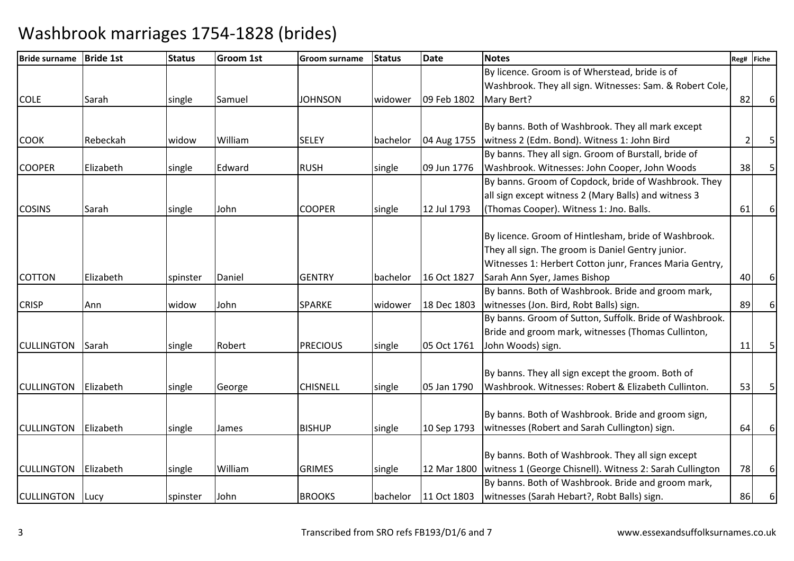| <b>Bride surname</b> | <b>Bride 1st</b> | <b>Status</b> | Groom 1st | <b>Groom surname</b> | <b>Status</b> | Date        | <b>Notes</b>                                             | Reg# | Fiche            |
|----------------------|------------------|---------------|-----------|----------------------|---------------|-------------|----------------------------------------------------------|------|------------------|
|                      |                  |               |           |                      |               |             | By licence. Groom is of Wherstead, bride is of           |      |                  |
|                      |                  |               |           |                      |               |             | Washbrook. They all sign. Witnesses: Sam. & Robert Cole, |      |                  |
| <b>COLE</b>          | Sarah            | single        | Samuel    | <b>JOHNSON</b>       | widower       | 09 Feb 1802 | Mary Bert?                                               | 82   | $6 \mid$         |
|                      |                  |               |           |                      |               |             |                                                          |      |                  |
|                      |                  |               |           |                      |               |             | By banns. Both of Washbrook. They all mark except        |      |                  |
| <b>COOK</b>          | Rebeckah         | widow         | William   | <b>SELEY</b>         | bachelor      | 04 Aug 1755 | witness 2 (Edm. Bond). Witness 1: John Bird              |      | 5                |
|                      |                  |               |           |                      |               |             | By banns. They all sign. Groom of Burstall, bride of     |      |                  |
| <b>COOPER</b>        | Elizabeth        | single        | Edward    | <b>RUSH</b>          | single        | 09 Jun 1776 | Washbrook. Witnesses: John Cooper, John Woods            | 38   | 5                |
|                      |                  |               |           |                      |               |             | By banns. Groom of Copdock, bride of Washbrook. They     |      |                  |
|                      |                  |               |           |                      |               |             | all sign except witness 2 (Mary Balls) and witness 3     |      |                  |
| <b>COSINS</b>        | Sarah            | single        | John      | <b>COOPER</b>        | single        | 12 Jul 1793 | (Thomas Cooper). Witness 1: Jno. Balls.                  | 61   | 6                |
|                      |                  |               |           |                      |               |             |                                                          |      |                  |
|                      |                  |               |           |                      |               |             | By licence. Groom of Hintlesham, bride of Washbrook.     |      |                  |
|                      |                  |               |           |                      |               |             | They all sign. The groom is Daniel Gentry junior.        |      |                  |
|                      |                  |               |           |                      |               |             | Witnesses 1: Herbert Cotton junr, Frances Maria Gentry,  |      |                  |
| <b>COTTON</b>        | Elizabeth        | spinster      | Daniel    | <b>GENTRY</b>        | bachelor      | 16 Oct 1827 | Sarah Ann Syer, James Bishop                             | 40   | 6                |
|                      |                  |               |           |                      |               |             | By banns. Both of Washbrook. Bride and groom mark,       |      |                  |
| <b>CRISP</b>         | Ann              | widow         | John      | <b>SPARKE</b>        | widower       | 18 Dec 1803 | witnesses (Jon. Bird, Robt Balls) sign.                  | 89   | $6 \overline{6}$ |
|                      |                  |               |           |                      |               |             | By banns. Groom of Sutton, Suffolk. Bride of Washbrook.  |      |                  |
|                      |                  |               |           |                      |               |             | Bride and groom mark, witnesses (Thomas Cullinton,       |      |                  |
| <b>CULLINGTON</b>    | Sarah            | single        | Robert    | <b>PRECIOUS</b>      | single        | 05 Oct 1761 | John Woods) sign.                                        | 11   | 5                |
|                      |                  |               |           |                      |               |             |                                                          |      |                  |
|                      |                  |               |           |                      |               |             | By banns. They all sign except the groom. Both of        |      |                  |
| <b>CULLINGTON</b>    | Elizabeth        | single        | George    | <b>CHISNELL</b>      | single        | 05 Jan 1790 | Washbrook. Witnesses: Robert & Elizabeth Cullinton.      | 53   | 5                |
|                      |                  |               |           |                      |               |             |                                                          |      |                  |
|                      |                  |               |           |                      |               |             | By banns. Both of Washbrook. Bride and groom sign,       |      |                  |
| <b>CULLINGTON</b>    | Elizabeth        | single        | James     | <b>BISHUP</b>        | single        | 10 Sep 1793 | witnesses (Robert and Sarah Cullington) sign.            | 64   | 6                |
|                      |                  |               |           |                      |               |             |                                                          |      |                  |
|                      |                  |               |           |                      |               |             | By banns. Both of Washbrook. They all sign except        |      |                  |
| <b>CULLINGTON</b>    | Elizabeth        | single        | William   | <b>GRIMES</b>        | single        | 12 Mar 1800 | witness 1 (George Chisnell). Witness 2: Sarah Cullington | 78   | $6 \mid$         |
|                      |                  |               |           |                      |               |             | By banns. Both of Washbrook. Bride and groom mark,       |      |                  |
| <b>CULLINGTON</b>    | Lucy             | spinster      | John      | <b>BROOKS</b>        | bachelor      | 11 Oct 1803 | witnesses (Sarah Hebart?, Robt Balls) sign.              | 86   | 6                |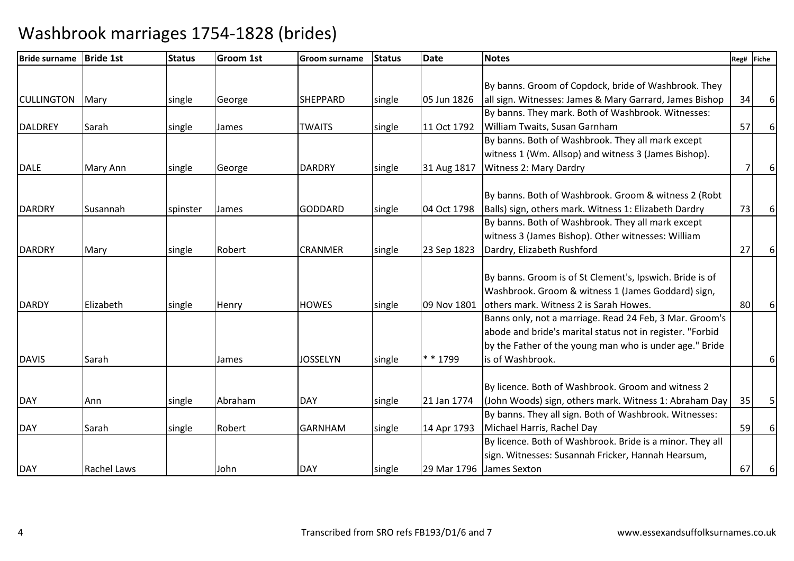| <b>Bride surname</b> | <b>Bride 1st</b> | <b>Status</b> | <b>Groom 1st</b> | <b>Groom surname</b> | <b>Status</b> | <b>Date</b> | <b>Notes</b>                                              | Reg# | Fiche           |
|----------------------|------------------|---------------|------------------|----------------------|---------------|-------------|-----------------------------------------------------------|------|-----------------|
|                      |                  |               |                  |                      |               |             |                                                           |      |                 |
|                      |                  |               |                  |                      |               |             | By banns. Groom of Copdock, bride of Washbrook. They      |      |                 |
| <b>CULLINGTON</b>    | Mary             | single        | George           | <b>SHEPPARD</b>      | single        | 05 Jun 1826 | all sign. Witnesses: James & Mary Garrard, James Bishop   | 34   | 6               |
|                      |                  |               |                  |                      |               |             | By banns. They mark. Both of Washbrook. Witnesses:        |      |                 |
| <b>DALDREY</b>       | Sarah            | single        | James            | <b>TWAITS</b>        | single        | 11 Oct 1792 | William Twaits, Susan Garnham                             | 57   | 6               |
|                      |                  |               |                  |                      |               |             | By banns. Both of Washbrook. They all mark except         |      |                 |
|                      |                  |               |                  |                      |               |             | witness 1 (Wm. Allsop) and witness 3 (James Bishop).      |      |                 |
| <b>DALE</b>          | Mary Ann         | single        | George           | <b>DARDRY</b>        | single        | 31 Aug 1817 | <b>Witness 2: Mary Dardry</b>                             |      | 6               |
|                      |                  |               |                  |                      |               |             |                                                           |      |                 |
|                      |                  |               |                  |                      |               |             | By banns. Both of Washbrook. Groom & witness 2 (Robt      |      |                 |
| <b>DARDRY</b>        | Susannah         | spinster      | James            | <b>GODDARD</b>       | single        | 04 Oct 1798 | Balls) sign, others mark. Witness 1: Elizabeth Dardry     | 73   | 6               |
|                      |                  |               |                  |                      |               |             | By banns. Both of Washbrook. They all mark except         |      |                 |
|                      |                  |               |                  |                      |               |             | witness 3 (James Bishop). Other witnesses: William        |      |                 |
| <b>DARDRY</b>        | Mary             | single        | Robert           | <b>CRANMER</b>       | single        | 23 Sep 1823 | Dardry, Elizabeth Rushford                                | 27   | 6               |
|                      |                  |               |                  |                      |               |             |                                                           |      |                 |
|                      |                  |               |                  |                      |               |             | By banns. Groom is of St Clement's, Ipswich. Bride is of  |      |                 |
|                      |                  |               |                  |                      |               |             | Washbrook. Groom & witness 1 (James Goddard) sign,        |      |                 |
| <b>DARDY</b>         | Elizabeth        | single        | Henry            | <b>HOWES</b>         | single        | 09 Nov 1801 | others mark. Witness 2 is Sarah Howes.                    | 80   | 6               |
|                      |                  |               |                  |                      |               |             | Banns only, not a marriage. Read 24 Feb, 3 Mar. Groom's   |      |                 |
|                      |                  |               |                  |                      |               |             | abode and bride's marital status not in register. "Forbid |      |                 |
|                      |                  |               |                  |                      |               |             | by the Father of the young man who is under age." Bride   |      |                 |
| <b>DAVIS</b>         | Sarah            |               | James            | <b>JOSSELYN</b>      | single        | * * 1799    | is of Washbrook.                                          |      | 6               |
|                      |                  |               |                  |                      |               |             | By licence. Both of Washbrook. Groom and witness 2        |      |                 |
|                      |                  |               |                  |                      |               |             |                                                           |      |                 |
| <b>DAY</b>           | Ann              | single        | Abraham          | <b>DAY</b>           | single        | 21 Jan 1774 | (John Woods) sign, others mark. Witness 1: Abraham Day    | 35   | $5\phantom{.0}$ |
|                      |                  |               |                  |                      |               |             | By banns. They all sign. Both of Washbrook. Witnesses:    |      |                 |
| <b>DAY</b>           | Sarah            | single        | Robert           | <b>GARNHAM</b>       | single        | 14 Apr 1793 | Michael Harris, Rachel Day                                | 59   | 6               |
|                      |                  |               |                  |                      |               |             | By licence. Both of Washbrook. Bride is a minor. They all |      |                 |
|                      |                  |               |                  |                      |               |             | sign. Witnesses: Susannah Fricker, Hannah Hearsum,        |      |                 |
| <b>DAY</b>           | Rachel Laws      |               | John             | <b>DAY</b>           | single        |             | 29 Mar 1796 James Sexton                                  | 67   | 6               |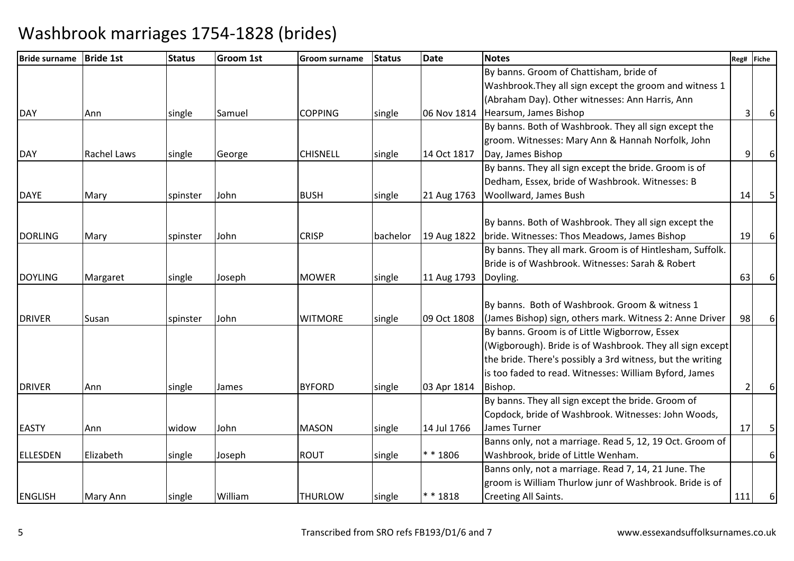| <b>Bride surname</b> | <b>Bride 1st</b> | <b>Status</b> | Groom 1st | <b>Groom surname</b> | <b>Status</b> | <b>Date</b> | <b>Notes</b>                                               |     | Reg# Fiche |
|----------------------|------------------|---------------|-----------|----------------------|---------------|-------------|------------------------------------------------------------|-----|------------|
|                      |                  |               |           |                      |               |             | By banns. Groom of Chattisham, bride of                    |     |            |
|                      |                  |               |           |                      |               |             | Washbrook. They all sign except the groom and witness 1    |     |            |
|                      |                  |               |           |                      |               |             | (Abraham Day). Other witnesses: Ann Harris, Ann            |     |            |
| <b>DAY</b>           | Ann              | single        | Samuel    | <b>COPPING</b>       | single        | 06 Nov 1814 | Hearsum, James Bishop                                      |     | 6          |
|                      |                  |               |           |                      |               |             | By banns. Both of Washbrook. They all sign except the      |     |            |
|                      |                  |               |           |                      |               |             | groom. Witnesses: Mary Ann & Hannah Norfolk, John          |     |            |
| <b>DAY</b>           | Rachel Laws      | single        | George    | <b>CHISNELL</b>      | single        | 14 Oct 1817 | Day, James Bishop                                          | 9   | 6          |
|                      |                  |               |           |                      |               |             | By banns. They all sign except the bride. Groom is of      |     |            |
|                      |                  |               |           |                      |               |             | Dedham, Essex, bride of Washbrook. Witnesses: B            |     |            |
| <b>DAYE</b>          | Mary             | spinster      | John      | <b>BUSH</b>          | single        | 21 Aug 1763 | Woollward, James Bush                                      | 14  | 5          |
|                      |                  |               |           |                      |               |             |                                                            |     |            |
|                      |                  |               |           |                      |               |             | By banns. Both of Washbrook. They all sign except the      |     |            |
| <b>DORLING</b>       | Mary             | spinster      | John      | <b>CRISP</b>         | bachelor      | 19 Aug 1822 | bride. Witnesses: Thos Meadows, James Bishop               | 19  | 6          |
|                      |                  |               |           |                      |               |             | By banns. They all mark. Groom is of Hintlesham, Suffolk.  |     |            |
|                      |                  |               |           |                      |               |             | Bride is of Washbrook. Witnesses: Sarah & Robert           |     |            |
| <b>DOYLING</b>       | Margaret         | single        | Joseph    | <b>MOWER</b>         | single        | 11 Aug 1793 | Doyling.                                                   | 63  | 6          |
|                      |                  |               |           |                      |               |             |                                                            |     |            |
|                      |                  |               |           |                      |               |             | By banns. Both of Washbrook. Groom & witness 1             |     |            |
| <b>DRIVER</b>        | Susan            | spinster      | John      | <b>WITMORE</b>       | single        | 09 Oct 1808 | (James Bishop) sign, others mark. Witness 2: Anne Driver   | 98  | 6          |
|                      |                  |               |           |                      |               |             | By banns. Groom is of Little Wigborrow, Essex              |     |            |
|                      |                  |               |           |                      |               |             | (Wigborough). Bride is of Washbrook. They all sign except  |     |            |
|                      |                  |               |           |                      |               |             | the bride. There's possibly a 3rd witness, but the writing |     |            |
|                      |                  |               |           |                      |               |             | is too faded to read. Witnesses: William Byford, James     |     |            |
| <b>DRIVER</b>        | Ann              | single        | James     | <b>BYFORD</b>        | single        | 03 Apr 1814 | Bishop.                                                    |     | 6          |
|                      |                  |               |           |                      |               |             | By banns. They all sign except the bride. Groom of         |     |            |
|                      |                  |               |           |                      |               |             | Copdock, bride of Washbrook. Witnesses: John Woods,        |     |            |
| <b>EASTY</b>         | Ann              | widow         | John      | <b>MASON</b>         | single        | 14 Jul 1766 | James Turner                                               | 17  | 5          |
|                      |                  |               |           |                      |               |             | Banns only, not a marriage. Read 5, 12, 19 Oct. Groom of   |     |            |
| <b>ELLESDEN</b>      | Elizabeth        | single        | Joseph    | <b>ROUT</b>          | single        | ** 1806     | Washbrook, bride of Little Wenham.                         |     | 6          |
|                      |                  |               |           |                      |               |             | Banns only, not a marriage. Read 7, 14, 21 June. The       |     |            |
|                      |                  |               |           |                      |               |             | groom is William Thurlow junr of Washbrook. Bride is of    |     |            |
| <b>ENGLISH</b>       | Mary Ann         | single        | William   | <b>THURLOW</b>       | single        | * * 1818    | Creeting All Saints.                                       | 111 | 6          |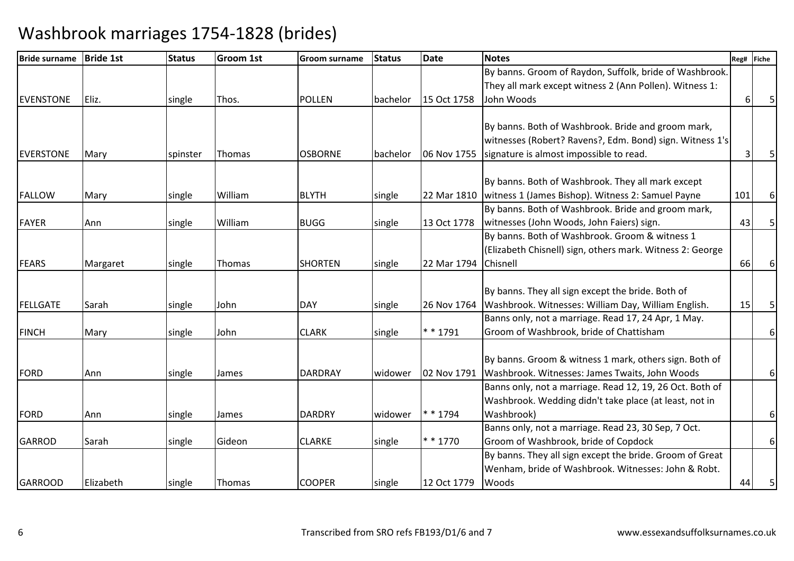| <b>Bride surname</b> | <b>Bride 1st</b> | <b>Status</b> | <b>Groom 1st</b> | <b>Groom surname</b> | <b>Status</b> | <b>Date</b> | <b>Notes</b>                                              | Reg# | Fiche          |
|----------------------|------------------|---------------|------------------|----------------------|---------------|-------------|-----------------------------------------------------------|------|----------------|
|                      |                  |               |                  |                      |               |             | By banns. Groom of Raydon, Suffolk, bride of Washbrook.   |      |                |
|                      |                  |               |                  |                      |               |             | They all mark except witness 2 (Ann Pollen). Witness 1:   |      |                |
| <b>EVENSTONE</b>     | Eliz.            | single        | Thos.            | <b>POLLEN</b>        | bachelor      | 15 Oct 1758 | John Woods                                                | 61   | 5              |
|                      |                  |               |                  |                      |               |             |                                                           |      |                |
|                      |                  |               |                  |                      |               |             | By banns. Both of Washbrook. Bride and groom mark,        |      |                |
|                      |                  |               |                  |                      |               |             | witnesses (Robert? Ravens?, Edm. Bond) sign. Witness 1's  |      |                |
| <b>EVERSTONE</b>     | Mary             | spinster      | Thomas           | <b>OSBORNE</b>       | bachelor      | 06 Nov 1755 | signature is almost impossible to read.                   |      | 5 <sub>1</sub> |
|                      |                  |               |                  |                      |               |             |                                                           |      |                |
|                      |                  |               |                  |                      |               |             | By banns. Both of Washbrook. They all mark except         |      |                |
| <b>FALLOW</b>        | Mary             | single        | William          | <b>BLYTH</b>         | single        | 22 Mar 1810 | witness 1 (James Bishop). Witness 2: Samuel Payne         | 101  | 6              |
|                      |                  |               |                  |                      |               |             | By banns. Both of Washbrook. Bride and groom mark,        |      |                |
| <b>FAYER</b>         | Ann              | single        | William          | <b>BUGG</b>          | single        | 13 Oct 1778 | witnesses (John Woods, John Faiers) sign.                 | 43   | 5              |
|                      |                  |               |                  |                      |               |             | By banns. Both of Washbrook. Groom & witness 1            |      |                |
|                      |                  |               |                  |                      |               |             | (Elizabeth Chisnell) sign, others mark. Witness 2: George |      |                |
| <b>FEARS</b>         | Margaret         | single        | <b>Thomas</b>    | <b>SHORTEN</b>       | single        | 22 Mar 1794 | Chisnell                                                  | 66   | 6              |
|                      |                  |               |                  |                      |               |             |                                                           |      |                |
|                      |                  |               |                  |                      |               |             | By banns. They all sign except the bride. Both of         |      |                |
| <b>FELLGATE</b>      | Sarah            | single        | John             | <b>DAY</b>           | single        | 26 Nov 1764 | Washbrook. Witnesses: William Day, William English.       | 15   | 5              |
|                      |                  |               |                  |                      |               |             | Banns only, not a marriage. Read 17, 24 Apr, 1 May.       |      |                |
| <b>FINCH</b>         | Mary             | single        | John             | <b>CLARK</b>         | single        | $* * 1791$  | Groom of Washbrook, bride of Chattisham                   |      | $6 \mid$       |
|                      |                  |               |                  |                      |               |             |                                                           |      |                |
|                      |                  |               |                  |                      |               |             | By banns. Groom & witness 1 mark, others sign. Both of    |      |                |
| <b>FORD</b>          | Ann              | single        | James            | <b>DARDRAY</b>       | widower       | 02 Nov 1791 | Washbrook. Witnesses: James Twaits, John Woods            |      | $6 \mid$       |
|                      |                  |               |                  |                      |               |             | Banns only, not a marriage. Read 12, 19, 26 Oct. Both of  |      |                |
|                      |                  |               |                  |                      |               |             | Washbrook. Wedding didn't take place (at least, not in    |      |                |
| <b>FORD</b>          | Ann              | single        | James            | <b>DARDRY</b>        | widower       | * * 1794    | Washbrook)                                                |      | 6              |
|                      |                  |               |                  |                      |               |             | Banns only, not a marriage. Read 23, 30 Sep, 7 Oct.       |      |                |
| <b>GARROD</b>        | Sarah            | single        | Gideon           | <b>CLARKE</b>        | single        | $* * 1770$  | Groom of Washbrook, bride of Copdock                      |      | $6 \mid$       |
|                      |                  |               |                  |                      |               |             | By banns. They all sign except the bride. Groom of Great  |      |                |
|                      |                  |               |                  |                      |               |             | Wenham, bride of Washbrook. Witnesses: John & Robt.       |      |                |
| <b>GARROOD</b>       | Elizabeth        | single        | <b>Thomas</b>    | <b>COOPER</b>        | single        | 12 Oct 1779 | Woods                                                     | 44   | 5              |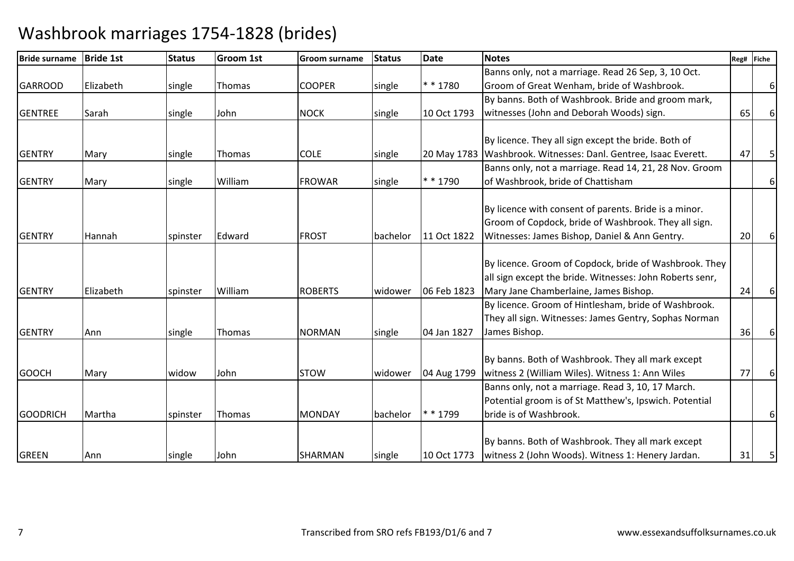| <b>Bride surname</b> | <b>Bride 1st</b> | <b>Status</b> | Groom 1st     | <b>Groom surname</b> | <b>Status</b> | Date        | <b>Notes</b>                                                    |    | Reg# Fiche |
|----------------------|------------------|---------------|---------------|----------------------|---------------|-------------|-----------------------------------------------------------------|----|------------|
|                      |                  |               |               |                      |               |             | Banns only, not a marriage. Read 26 Sep, 3, 10 Oct.             |    |            |
| <b>GARROOD</b>       | Elizabeth        | single        | Thomas        | <b>COOPER</b>        | single        | $* * 1780$  | Groom of Great Wenham, bride of Washbrook.                      |    | $6 \mid$   |
|                      |                  |               |               |                      |               |             | By banns. Both of Washbrook. Bride and groom mark,              |    |            |
| <b>GENTREE</b>       | Sarah            | single        | John          | <b>NOCK</b>          | single        | 10 Oct 1793 | witnesses (John and Deborah Woods) sign.                        | 65 | 6          |
|                      |                  |               |               |                      |               |             |                                                                 |    |            |
|                      |                  |               |               |                      |               |             | By licence. They all sign except the bride. Both of             |    |            |
| <b>GENTRY</b>        | Mary             | single        | Thomas        | <b>COLE</b>          | single        |             | 20 May 1783 Washbrook. Witnesses: Danl. Gentree, Isaac Everett. | 47 | 5          |
|                      |                  |               |               |                      |               |             | Banns only, not a marriage. Read 14, 21, 28 Nov. Groom          |    |            |
| <b>GENTRY</b>        | Mary             | single        | William       | <b>FROWAR</b>        | single        | $* * 1790$  | of Washbrook, bride of Chattisham                               |    | 6          |
|                      |                  |               |               |                      |               |             |                                                                 |    |            |
|                      |                  |               |               |                      |               |             | By licence with consent of parents. Bride is a minor.           |    |            |
|                      |                  |               |               |                      |               |             | Groom of Copdock, bride of Washbrook. They all sign.            |    |            |
| <b>GENTRY</b>        | <b>Hannah</b>    | spinster      | Edward        | <b>FROST</b>         | bachelor      | 11 Oct 1822 | Witnesses: James Bishop, Daniel & Ann Gentry.                   | 20 | 6          |
|                      |                  |               |               |                      |               |             |                                                                 |    |            |
|                      |                  |               |               |                      |               |             | By licence. Groom of Copdock, bride of Washbrook. They          |    |            |
|                      |                  |               |               |                      |               |             | all sign except the bride. Witnesses: John Roberts senr,        |    |            |
| <b>GENTRY</b>        | Elizabeth        | spinster      | William       | <b>ROBERTS</b>       | widower       | 06 Feb 1823 | Mary Jane Chamberlaine, James Bishop.                           | 24 | 6          |
|                      |                  |               |               |                      |               |             | By licence. Groom of Hintlesham, bride of Washbrook.            |    |            |
|                      |                  |               |               |                      |               |             | They all sign. Witnesses: James Gentry, Sophas Norman           |    |            |
| <b>GENTRY</b>        | Ann              | single        | Thomas        | <b>NORMAN</b>        | single        | 04 Jan 1827 | James Bishop.                                                   | 36 | 6          |
|                      |                  |               |               |                      |               |             |                                                                 |    |            |
|                      |                  |               |               |                      |               |             | By banns. Both of Washbrook. They all mark except               |    |            |
| <b>GOOCH</b>         | Mary             | widow         | John          | <b>STOW</b>          | widower       | 04 Aug 1799 | witness 2 (William Wiles). Witness 1: Ann Wiles                 | 77 | 6          |
|                      |                  |               |               |                      |               |             | Banns only, not a marriage. Read 3, 10, 17 March.               |    |            |
|                      |                  |               |               |                      |               |             | Potential groom is of St Matthew's, Ipswich. Potential          |    |            |
| <b>GOODRICH</b>      | Martha           | spinster      | <b>Thomas</b> | <b>MONDAY</b>        | bachelor      | * * 1799    | bride is of Washbrook.                                          |    | 6          |
|                      |                  |               |               |                      |               |             |                                                                 |    |            |
|                      |                  |               |               |                      |               |             | By banns. Both of Washbrook. They all mark except               |    |            |
| <b>GREEN</b>         | Ann              | single        | John          | SHARMAN              | single        | 10 Oct 1773 | witness 2 (John Woods). Witness 1: Henery Jardan.               | 31 | 5          |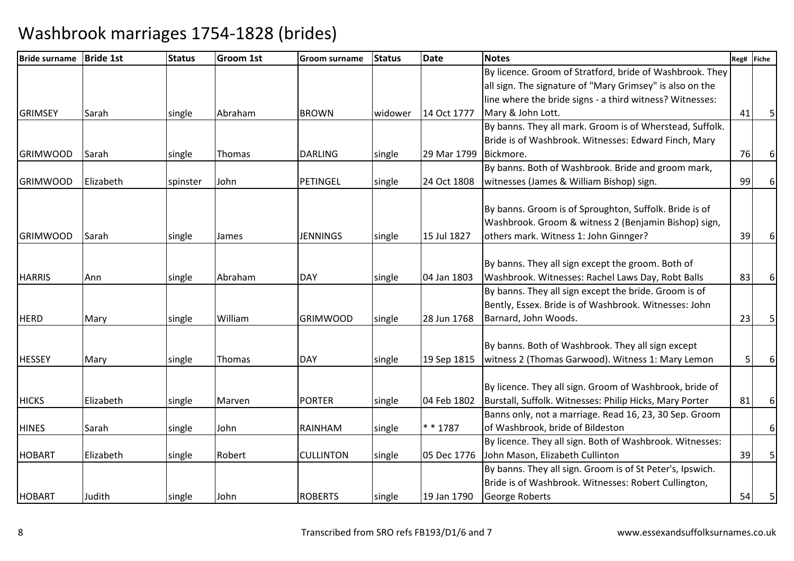| <b>Bride surname</b> | <b>Bride 1st</b> | <b>Status</b> | <b>Groom 1st</b> | <b>Groom surname</b> | <b>Status</b> | <b>Date</b> | <b>Notes</b>                                              |    | Reg# Fiche |
|----------------------|------------------|---------------|------------------|----------------------|---------------|-------------|-----------------------------------------------------------|----|------------|
|                      |                  |               |                  |                      |               |             | By licence. Groom of Stratford, bride of Washbrook. They  |    |            |
|                      |                  |               |                  |                      |               |             | all sign. The signature of "Mary Grimsey" is also on the  |    |            |
|                      |                  |               |                  |                      |               |             | line where the bride signs - a third witness? Witnesses:  |    |            |
| <b>GRIMSEY</b>       | Sarah            | single        | Abraham          | <b>BROWN</b>         | widower       | 14 Oct 1777 | Mary & John Lott.                                         | 41 | 5          |
|                      |                  |               |                  |                      |               |             | By banns. They all mark. Groom is of Wherstead, Suffolk.  |    |            |
|                      |                  |               |                  |                      |               |             | Bride is of Washbrook. Witnesses: Edward Finch, Mary      |    |            |
| <b>GRIMWOOD</b>      | Sarah            | single        | Thomas           | <b>DARLING</b>       | single        | 29 Mar 1799 | Bickmore.                                                 | 76 | 6          |
|                      |                  |               |                  |                      |               |             | By banns. Both of Washbrook. Bride and groom mark,        |    |            |
| <b>GRIMWOOD</b>      | Elizabeth        | spinster      | John             | PETINGEL             | single        | 24 Oct 1808 | witnesses (James & William Bishop) sign.                  | 99 | $6 \mid$   |
|                      |                  |               |                  |                      |               |             |                                                           |    |            |
|                      |                  |               |                  |                      |               |             | By banns. Groom is of Sproughton, Suffolk. Bride is of    |    |            |
|                      |                  |               |                  |                      |               |             | Washbrook. Groom & witness 2 (Benjamin Bishop) sign,      |    |            |
| <b>GRIMWOOD</b>      | Sarah            | single        | James            | <b>JENNINGS</b>      | single        | 15 Jul 1827 | others mark. Witness 1: John Ginnger?                     | 39 | 6          |
|                      |                  |               |                  |                      |               |             |                                                           |    |            |
|                      |                  |               |                  |                      |               |             | By banns. They all sign except the groom. Both of         |    |            |
| <b>HARRIS</b>        | Ann              | single        | Abraham          | <b>DAY</b>           | single        | 04 Jan 1803 | Washbrook. Witnesses: Rachel Laws Day, Robt Balls         | 83 | 6          |
|                      |                  |               |                  |                      |               |             | By banns. They all sign except the bride. Groom is of     |    |            |
|                      |                  |               |                  |                      |               |             | Bently, Essex. Bride is of Washbrook. Witnesses: John     |    |            |
| <b>HERD</b>          | Mary             | single        | William          | <b>GRIMWOOD</b>      | single        | 28 Jun 1768 | Barnard, John Woods.                                      | 23 |            |
|                      |                  |               |                  |                      |               |             |                                                           |    |            |
|                      |                  |               |                  |                      |               |             | By banns. Both of Washbrook. They all sign except         |    |            |
| <b>HESSEY</b>        | Mary             | single        | Thomas           | <b>DAY</b>           | single        | 19 Sep 1815 | witness 2 (Thomas Garwood). Witness 1: Mary Lemon         | 5  | 6          |
|                      |                  |               |                  |                      |               |             |                                                           |    |            |
|                      |                  |               |                  |                      |               |             | By licence. They all sign. Groom of Washbrook, bride of   |    |            |
| <b>HICKS</b>         | Elizabeth        | single        | Marven           | <b>PORTER</b>        | single        | 04 Feb 1802 | Burstall, Suffolk. Witnesses: Philip Hicks, Mary Porter   | 81 | 6          |
|                      |                  |               |                  |                      |               |             | Banns only, not a marriage. Read 16, 23, 30 Sep. Groom    |    |            |
| <b>HINES</b>         | Sarah            | single        | John             | RAINHAM              | single        | * * 1787    | of Washbrook, bride of Bildeston                          |    | 6          |
|                      |                  |               |                  |                      |               |             | By licence. They all sign. Both of Washbrook. Witnesses:  |    |            |
| <b>HOBART</b>        | Elizabeth        | single        | Robert           | <b>CULLINTON</b>     | single        | 05 Dec 1776 | John Mason, Elizabeth Cullinton                           | 39 | 5          |
|                      |                  |               |                  |                      |               |             | By banns. They all sign. Groom is of St Peter's, Ipswich. |    |            |
|                      |                  |               |                  |                      |               |             | Bride is of Washbrook. Witnesses: Robert Cullington,      |    |            |
| <b>HOBART</b>        | Judith           | single        | John             | <b>ROBERTS</b>       | single        | 19 Jan 1790 | George Roberts                                            | 54 | 5          |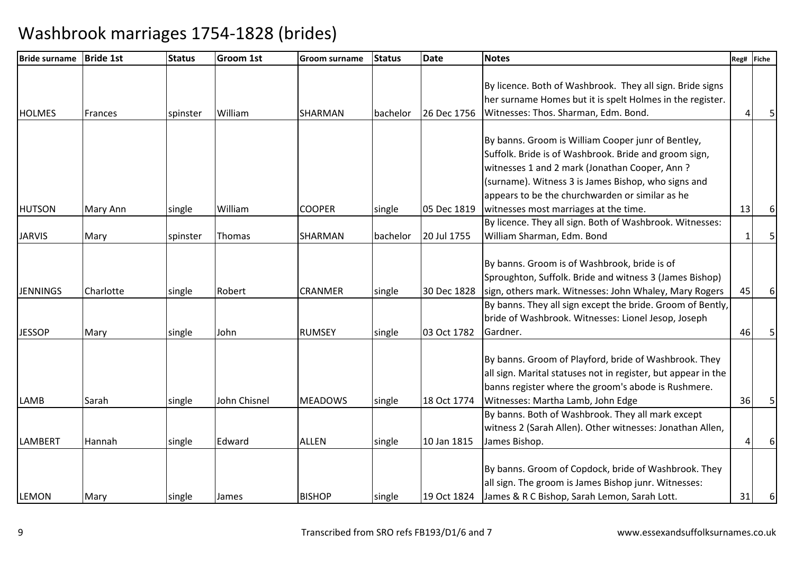| <b>Bride surname</b> | <b>Bride 1st</b> | <b>Status</b> | Groom 1st    | <b>Groom surname</b> | <b>Status</b> | <b>Date</b> | <b>Notes</b>                                                  |    | Reg# Fiche     |
|----------------------|------------------|---------------|--------------|----------------------|---------------|-------------|---------------------------------------------------------------|----|----------------|
|                      |                  |               |              |                      |               |             |                                                               |    |                |
|                      |                  |               |              |                      |               |             | By licence. Both of Washbrook. They all sign. Bride signs     |    |                |
|                      |                  |               |              |                      |               |             | her surname Homes but it is spelt Holmes in the register.     |    |                |
| <b>HOLMES</b>        | Frances          | spinster      | William      | <b>SHARMAN</b>       | bachelor      | 26 Dec 1756 | Witnesses: Thos. Sharman, Edm. Bond.                          |    | 5 <sub>5</sub> |
|                      |                  |               |              |                      |               |             |                                                               |    |                |
|                      |                  |               |              |                      |               |             | By banns. Groom is William Cooper junr of Bentley,            |    |                |
|                      |                  |               |              |                      |               |             | Suffolk. Bride is of Washbrook. Bride and groom sign,         |    |                |
|                      |                  |               |              |                      |               |             | witnesses 1 and 2 mark (Jonathan Cooper, Ann?                 |    |                |
|                      |                  |               |              |                      |               |             | (surname). Witness 3 is James Bishop, who signs and           |    |                |
|                      |                  |               |              |                      |               |             | appears to be the churchwarden or similar as he               |    |                |
| <b>HUTSON</b>        | Mary Ann         | single        | William      | <b>COOPER</b>        | single        | 05 Dec 1819 | witnesses most marriages at the time.                         | 13 | 6              |
|                      |                  |               |              |                      |               |             | By licence. They all sign. Both of Washbrook. Witnesses:      |    |                |
| <b>JARVIS</b>        | Mary             | spinster      | Thomas       | <b>SHARMAN</b>       | bachelor      | 20 Jul 1755 | William Sharman, Edm. Bond                                    |    | 5              |
|                      |                  |               |              |                      |               |             |                                                               |    |                |
|                      |                  |               |              |                      |               |             | By banns. Groom is of Washbrook, bride is of                  |    |                |
|                      |                  |               |              |                      |               |             | Sproughton, Suffolk. Bride and witness 3 (James Bishop)       |    |                |
| <b>JENNINGS</b>      | Charlotte        | single        | Robert       | <b>CRANMER</b>       | single        | 30 Dec 1828 | sign, others mark. Witnesses: John Whaley, Mary Rogers        | 45 | 6              |
|                      |                  |               |              |                      |               |             | By banns. They all sign except the bride. Groom of Bently,    |    |                |
|                      |                  |               |              |                      |               |             | bride of Washbrook. Witnesses: Lionel Jesop, Joseph           |    |                |
| <b>JESSOP</b>        | Mary             | single        | John         | <b>RUMSEY</b>        | single        | 03 Oct 1782 | Gardner.                                                      | 46 | 5              |
|                      |                  |               |              |                      |               |             |                                                               |    |                |
|                      |                  |               |              |                      |               |             | By banns. Groom of Playford, bride of Washbrook. They         |    |                |
|                      |                  |               |              |                      |               |             | all sign. Marital statuses not in register, but appear in the |    |                |
|                      |                  |               |              |                      |               |             | banns register where the groom's abode is Rushmere.           |    |                |
| LAMB                 | Sarah            | single        | John Chisnel | <b>MEADOWS</b>       | single        | 18 Oct 1774 | Witnesses: Martha Lamb, John Edge                             | 36 | 5              |
|                      |                  |               |              |                      |               |             | By banns. Both of Washbrook. They all mark except             |    |                |
|                      |                  |               |              |                      |               |             | witness 2 (Sarah Allen). Other witnesses: Jonathan Allen,     |    |                |
| <b>LAMBERT</b>       | Hannah           | single        | Edward       | <b>ALLEN</b>         | single        | 10 Jan 1815 | James Bishop.                                                 |    | 6              |
|                      |                  |               |              |                      |               |             |                                                               |    |                |
|                      |                  |               |              |                      |               |             | By banns. Groom of Copdock, bride of Washbrook. They          |    |                |
|                      |                  |               |              |                      |               |             | all sign. The groom is James Bishop junr. Witnesses:          |    |                |
| <b>LEMON</b>         | Mary             | single        | James        | <b>BISHOP</b>        | single        | 19 Oct 1824 | James & R C Bishop, Sarah Lemon, Sarah Lott.                  | 31 | 6              |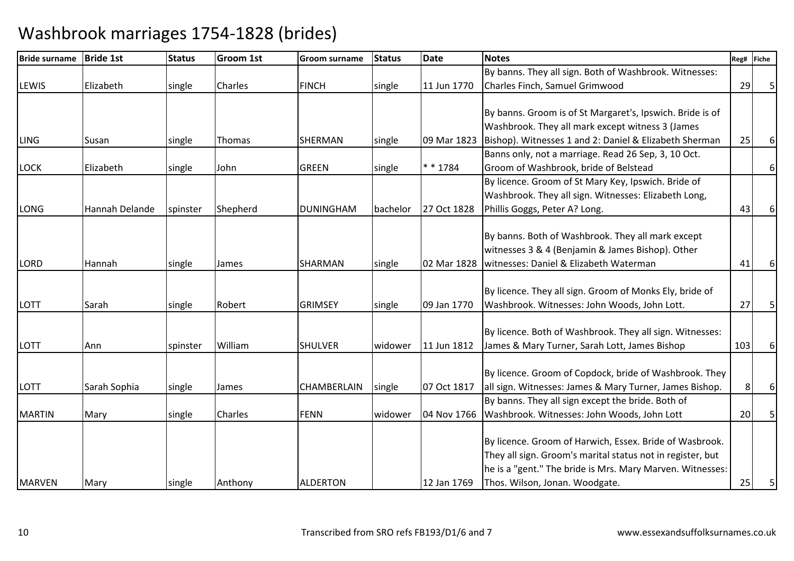| <b>Bride surname</b> | <b>Bride 1st</b> | <b>Status</b> | <b>Groom 1st</b> | <b>Groom surname</b> | <b>Status</b> | Date        | <b>Notes</b>                                               | Reg# | Fiche    |
|----------------------|------------------|---------------|------------------|----------------------|---------------|-------------|------------------------------------------------------------|------|----------|
|                      |                  |               |                  |                      |               |             | By banns. They all sign. Both of Washbrook. Witnesses:     |      |          |
| <b>LEWIS</b>         | Elizabeth        | single        | Charles          | <b>FINCH</b>         | single        | 11 Jun 1770 | Charles Finch, Samuel Grimwood                             | 29   | 5        |
|                      |                  |               |                  |                      |               |             |                                                            |      |          |
|                      |                  |               |                  |                      |               |             | By banns. Groom is of St Margaret's, Ipswich. Bride is of  |      |          |
|                      |                  |               |                  |                      |               |             | Washbrook. They all mark except witness 3 (James           |      |          |
| <b>LING</b>          | Susan            | single        | <b>Thomas</b>    | SHERMAN              | single        | 09 Mar 1823 | Bishop). Witnesses 1 and 2: Daniel & Elizabeth Sherman     | 25   | 6        |
|                      |                  |               |                  |                      |               |             | Banns only, not a marriage. Read 26 Sep, 3, 10 Oct.        |      |          |
| <b>LOCK</b>          | Elizabeth        | single        | John             | <b>GREEN</b>         | single        | $* * 1784$  | Groom of Washbrook, bride of Belstead                      |      | $6 \mid$ |
|                      |                  |               |                  |                      |               |             | By licence. Groom of St Mary Key, Ipswich. Bride of        |      |          |
|                      |                  |               |                  |                      |               |             | Washbrook. They all sign. Witnesses: Elizabeth Long,       |      |          |
| LONG                 | Hannah Delande   | spinster      | Shepherd         | <b>DUNINGHAM</b>     | bachelor      | 27 Oct 1828 | Phillis Goggs, Peter A? Long.                              | 43   | 6        |
|                      |                  |               |                  |                      |               |             |                                                            |      |          |
|                      |                  |               |                  |                      |               |             | By banns. Both of Washbrook. They all mark except          |      |          |
|                      |                  |               |                  |                      |               |             | witnesses 3 & 4 (Benjamin & James Bishop). Other           |      |          |
| LORD                 | Hannah           | single        | James            | SHARMAN              | single        | 02 Mar 1828 | witnesses: Daniel & Elizabeth Waterman                     | 41   | 6        |
|                      |                  |               |                  |                      |               |             |                                                            |      |          |
|                      |                  |               |                  |                      |               |             | By licence. They all sign. Groom of Monks Ely, bride of    |      |          |
| LOTT                 | Sarah            | single        | Robert           | <b>GRIMSEY</b>       | single        | 09 Jan 1770 | Washbrook. Witnesses: John Woods, John Lott.               | 27   | 5        |
|                      |                  |               |                  |                      |               |             |                                                            |      |          |
|                      |                  |               |                  |                      |               |             | By licence. Both of Washbrook. They all sign. Witnesses:   |      |          |
| LOTT                 | Ann              | spinster      | William          | <b>SHULVER</b>       | widower       | 11 Jun 1812 | James & Mary Turner, Sarah Lott, James Bishop              | 103  | 6        |
|                      |                  |               |                  |                      |               |             |                                                            |      |          |
|                      |                  |               |                  |                      |               |             | By licence. Groom of Copdock, bride of Washbrook. They     |      |          |
| <b>LOTT</b>          | Sarah Sophia     | single        | James            | CHAMBERLAIN          | single        | 07 Oct 1817 | all sign. Witnesses: James & Mary Turner, James Bishop.    | 8    | 6        |
|                      |                  |               |                  |                      |               |             | By banns. They all sign except the bride. Both of          |      |          |
| <b>MARTIN</b>        | Mary             | single        | Charles          | <b>FENN</b>          | widower       | 04 Nov 1766 | Washbrook. Witnesses: John Woods, John Lott                | 20   | 5        |
|                      |                  |               |                  |                      |               |             |                                                            |      |          |
|                      |                  |               |                  |                      |               |             | By licence. Groom of Harwich, Essex. Bride of Wasbrook.    |      |          |
|                      |                  |               |                  |                      |               |             | They all sign. Groom's marital status not in register, but |      |          |
|                      |                  |               |                  |                      |               |             | he is a "gent." The bride is Mrs. Mary Marven. Witnesses:  |      |          |
| <b>MARVEN</b>        | Mary             | single        | Anthony          | <b>ALDERTON</b>      |               | 12 Jan 1769 | Thos. Wilson, Jonan. Woodgate.                             | 25   | 5        |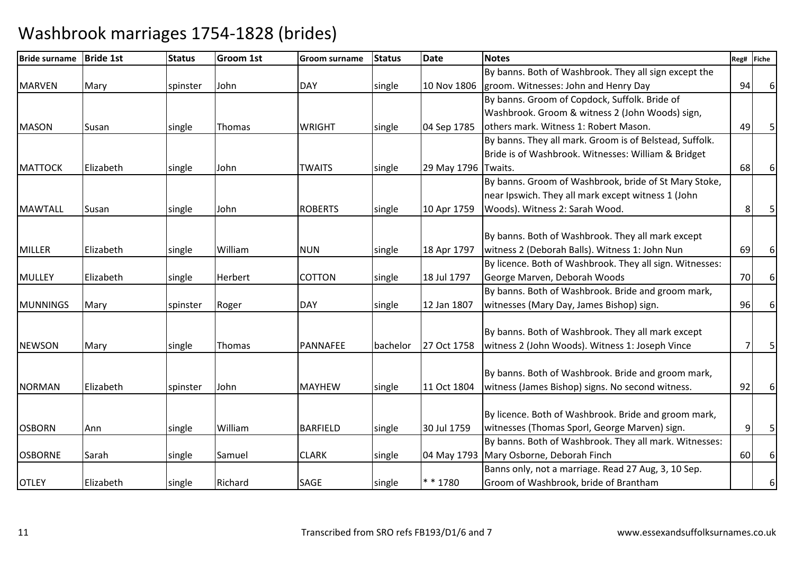| <b>Bride surname</b> | <b>Bride 1st</b> | <b>Status</b> | Groom 1st | <b>Groom surname</b> | <b>Status</b> | Date                | <b>Notes</b>                                             | Reg# | Fiche    |
|----------------------|------------------|---------------|-----------|----------------------|---------------|---------------------|----------------------------------------------------------|------|----------|
|                      |                  |               |           |                      |               |                     | By banns. Both of Washbrook. They all sign except the    |      |          |
| <b>MARVEN</b>        | Mary             | spinster      | John      | <b>DAY</b>           | single        | 10 Nov 1806         | groom. Witnesses: John and Henry Day                     | 94   | 6        |
|                      |                  |               |           |                      |               |                     | By banns. Groom of Copdock, Suffolk. Bride of            |      |          |
|                      |                  |               |           |                      |               |                     | Washbrook. Groom & witness 2 (John Woods) sign,          |      |          |
| <b>MASON</b>         | Susan            | single        | Thomas    | <b>WRIGHT</b>        | single        | 04 Sep 1785         | others mark. Witness 1: Robert Mason.                    | 49   | 5        |
|                      |                  |               |           |                      |               |                     | By banns. They all mark. Groom is of Belstead, Suffolk.  |      |          |
|                      |                  |               |           |                      |               |                     | Bride is of Washbrook. Witnesses: William & Bridget      |      |          |
| <b>MATTOCK</b>       | Elizabeth        | single        | John      | <b>TWAITS</b>        | single        | 29 May 1796 Twaits. |                                                          | 68   | 6        |
|                      |                  |               |           |                      |               |                     | By banns. Groom of Washbrook, bride of St Mary Stoke,    |      |          |
|                      |                  |               |           |                      |               |                     | near Ipswich. They all mark except witness 1 (John       |      |          |
| <b>MAWTALL</b>       | Susan            | single        | John      | <b>ROBERTS</b>       | single        | 10 Apr 1759         | Woods). Witness 2: Sarah Wood.                           | 8    | 5        |
|                      |                  |               |           |                      |               |                     |                                                          |      |          |
|                      |                  |               |           |                      |               |                     | By banns. Both of Washbrook. They all mark except        |      |          |
| <b>MILLER</b>        | Elizabeth        | single        | William   | <b>NUN</b>           | single        | 18 Apr 1797         | witness 2 (Deborah Balls). Witness 1: John Nun           | 69   | 6        |
|                      |                  |               |           |                      |               |                     | By licence. Both of Washbrook. They all sign. Witnesses: |      |          |
| <b>MULLEY</b>        | Elizabeth        | single        | Herbert   | <b>COTTON</b>        | single        | 18 Jul 1797         | George Marven, Deborah Woods                             | 70   | 6        |
|                      |                  |               |           |                      |               |                     | By banns. Both of Washbrook. Bride and groom mark,       |      |          |
| <b>MUNNINGS</b>      | Mary             | spinster      | Roger     | <b>DAY</b>           | single        | 12 Jan 1807         | witnesses (Mary Day, James Bishop) sign.                 | 96   | 6        |
|                      |                  |               |           |                      |               |                     |                                                          |      |          |
|                      |                  |               |           |                      |               |                     | By banns. Both of Washbrook. They all mark except        |      |          |
| <b>NEWSON</b>        | Mary             | single        | Thomas    | <b>PANNAFEE</b>      | bachelor      | 27 Oct 1758         | witness 2 (John Woods). Witness 1: Joseph Vince          |      | 5        |
|                      |                  |               |           |                      |               |                     |                                                          |      |          |
|                      |                  |               |           |                      |               |                     | By banns. Both of Washbrook. Bride and groom mark,       |      |          |
| <b>NORMAN</b>        | Elizabeth        | spinster      | John      | <b>MAYHEW</b>        | single        | 11 Oct 1804         | witness (James Bishop) signs. No second witness.         | 92   | 6        |
|                      |                  |               |           |                      |               |                     |                                                          |      |          |
|                      |                  |               |           |                      |               |                     | By licence. Both of Washbrook. Bride and groom mark,     |      |          |
| <b>OSBORN</b>        | Ann              | single        | William   | <b>BARFIELD</b>      | single        | 30 Jul 1759         | witnesses (Thomas Sporl, George Marven) sign.            | 9    | 5        |
|                      |                  |               |           |                      |               |                     | By banns. Both of Washbrook. They all mark. Witnesses:   |      |          |
| <b>OSBORNE</b>       | Sarah            | single        | Samuel    | <b>CLARK</b>         | single        |                     | 04 May 1793 Mary Osborne, Deborah Finch                  | 60   | 6        |
|                      |                  |               |           |                      |               |                     | Banns only, not a marriage. Read 27 Aug, 3, 10 Sep.      |      |          |
| <b>OTLEY</b>         | Elizabeth        | single        | Richard   | SAGE                 | single        | $* * 1780$          | Groom of Washbrook, bride of Brantham                    |      | $6 \mid$ |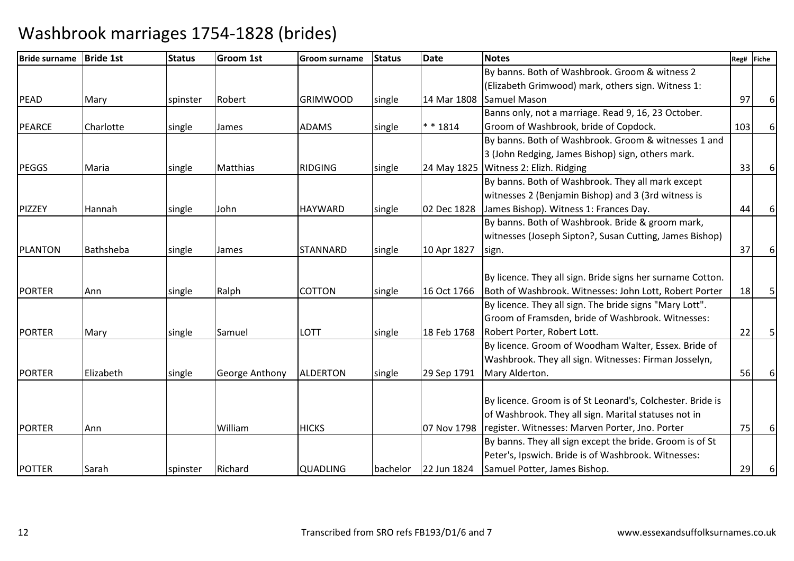| <b>Bride surname</b> | <b>Bride 1st</b> | <b>Status</b> | <b>Groom 1st</b>      | <b>Groom surname</b> | <b>Status</b> | <b>Date</b> | <b>Notes</b>                                               |     | Reg# Fiche |
|----------------------|------------------|---------------|-----------------------|----------------------|---------------|-------------|------------------------------------------------------------|-----|------------|
|                      |                  |               |                       |                      |               |             | By banns. Both of Washbrook. Groom & witness 2             |     |            |
|                      |                  |               |                       |                      |               |             | (Elizabeth Grimwood) mark, others sign. Witness 1:         |     |            |
| PEAD                 | Mary             | spinster      | Robert                | <b>GRIMWOOD</b>      | single        | 14 Mar 1808 | <b>Samuel Mason</b>                                        | 97  | 6          |
|                      |                  |               |                       |                      |               |             | Banns only, not a marriage. Read 9, 16, 23 October.        |     |            |
| <b>PEARCE</b>        | Charlotte        | single        | James                 | <b>ADAMS</b>         | single        | $* * 1814$  | Groom of Washbrook, bride of Copdock.                      | 103 | 6          |
|                      |                  |               |                       |                      |               |             | By banns. Both of Washbrook. Groom & witnesses 1 and       |     |            |
|                      |                  |               |                       |                      |               |             | 3 (John Redging, James Bishop) sign, others mark.          |     |            |
| <b>PEGGS</b>         | Maria            | single        | <b>Matthias</b>       | <b>RIDGING</b>       | single        |             | 24 May 1825   Witness 2: Elizh. Ridging                    | 33  | 6          |
|                      |                  |               |                       |                      |               |             | By banns. Both of Washbrook. They all mark except          |     |            |
|                      |                  |               |                       |                      |               |             | witnesses 2 (Benjamin Bishop) and 3 (3rd witness is        |     |            |
| <b>PIZZEY</b>        | <b>Hannah</b>    | single        | John                  | <b>HAYWARD</b>       | single        | 02 Dec 1828 | James Bishop). Witness 1: Frances Day.                     | 44  | 6          |
|                      |                  |               |                       |                      |               |             | By banns. Both of Washbrook. Bride & groom mark,           |     |            |
|                      |                  |               |                       |                      |               |             | witnesses (Joseph Sipton?, Susan Cutting, James Bishop)    |     |            |
| <b>PLANTON</b>       | <b>Bathsheba</b> | single        | James                 | <b>STANNARD</b>      | single        | 10 Apr 1827 | sign.                                                      | 37  | 6          |
|                      |                  |               |                       |                      |               |             |                                                            |     |            |
|                      |                  |               |                       |                      |               |             | By licence. They all sign. Bride signs her surname Cotton. |     |            |
| <b>PORTER</b>        | Ann              | single        | Ralph                 | COTTON               | single        | 16 Oct 1766 | Both of Washbrook. Witnesses: John Lott, Robert Porter     | 18  | 5          |
|                      |                  |               |                       |                      |               |             | By licence. They all sign. The bride signs "Mary Lott".    |     |            |
|                      |                  |               |                       |                      |               |             | Groom of Framsden, bride of Washbrook. Witnesses:          |     |            |
| <b>PORTER</b>        | Mary             | single        | Samuel                | LOTT                 | single        | 18 Feb 1768 | Robert Porter, Robert Lott.                                | 22  | 5          |
|                      |                  |               |                       |                      |               |             | By licence. Groom of Woodham Walter, Essex. Bride of       |     |            |
|                      |                  |               |                       |                      |               |             | Washbrook. They all sign. Witnesses: Firman Josselyn,      |     |            |
| <b>PORTER</b>        | Elizabeth        | single        | <b>George Anthony</b> | <b>ALDERTON</b>      | single        | 29 Sep 1791 | Mary Alderton.                                             | 56  | 6          |
|                      |                  |               |                       |                      |               |             |                                                            |     |            |
|                      |                  |               |                       |                      |               |             | By licence. Groom is of St Leonard's, Colchester. Bride is |     |            |
|                      |                  |               |                       |                      |               |             | of Washbrook. They all sign. Marital statuses not in       |     |            |
| <b>PORTER</b>        | Ann              |               | William               | <b>HICKS</b>         |               | 07 Nov 1798 | register. Witnesses: Marven Porter, Jno. Porter            | 75  |            |
|                      |                  |               |                       |                      |               |             | By banns. They all sign except the bride. Groom is of St   |     |            |
|                      |                  |               |                       |                      |               |             | Peter's, Ipswich. Bride is of Washbrook. Witnesses:        |     |            |
| <b>POTTER</b>        | Sarah            | spinster      | Richard               | <b>QUADLING</b>      | bachelor      | 22 Jun 1824 | Samuel Potter, James Bishop.                               | 29  | 6          |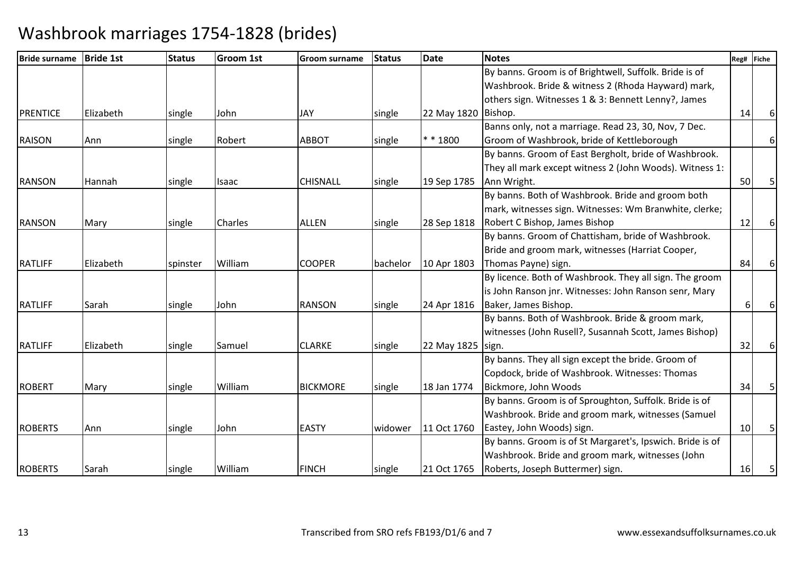| <b>Bride surname</b> | <b>Bride 1st</b> | <b>Status</b> | Groom 1st | Groom surname   | <b>Status</b> | Date                | <b>Notes</b>                                              |    | Reg# Fiche |
|----------------------|------------------|---------------|-----------|-----------------|---------------|---------------------|-----------------------------------------------------------|----|------------|
|                      |                  |               |           |                 |               |                     | By banns. Groom is of Brightwell, Suffolk. Bride is of    |    |            |
|                      |                  |               |           |                 |               |                     | Washbrook. Bride & witness 2 (Rhoda Hayward) mark,        |    |            |
|                      |                  |               |           |                 |               |                     | others sign. Witnesses 1 & 3: Bennett Lenny?, James       |    |            |
| <b>PRENTICE</b>      | Elizabeth        | single        | John      | JAY             | single        | 22 May 1820 Bishop. |                                                           | 14 | 6          |
|                      |                  |               |           |                 |               |                     | Banns only, not a marriage. Read 23, 30, Nov, 7 Dec.      |    |            |
| <b>RAISON</b>        | Ann              | single        | Robert    | <b>ABBOT</b>    | single        | $* * 1800$          | Groom of Washbrook, bride of Kettleborough                |    | 6          |
|                      |                  |               |           |                 |               |                     | By banns. Groom of East Bergholt, bride of Washbrook.     |    |            |
|                      |                  |               |           |                 |               |                     | They all mark except witness 2 (John Woods). Witness 1:   |    |            |
| <b>RANSON</b>        | Hannah           | single        | Isaac     | <b>CHISNALL</b> | single        | 19 Sep 1785         | Ann Wright.                                               | 50 | 5          |
|                      |                  |               |           |                 |               |                     | By banns. Both of Washbrook. Bride and groom both         |    |            |
|                      |                  |               |           |                 |               |                     | mark, witnesses sign. Witnesses: Wm Branwhite, clerke;    |    |            |
| <b>RANSON</b>        | Mary             | single        | Charles   | <b>ALLEN</b>    | single        | 28 Sep 1818         | Robert C Bishop, James Bishop                             | 12 |            |
|                      |                  |               |           |                 |               |                     | By banns. Groom of Chattisham, bride of Washbrook.        |    |            |
|                      |                  |               |           |                 |               |                     | Bride and groom mark, witnesses (Harriat Cooper,          |    |            |
| <b>RATLIFF</b>       | Elizabeth        | spinster      | William   | <b>COOPER</b>   | bachelor      | 10 Apr 1803         | Thomas Payne) sign.                                       | 84 | 6          |
|                      |                  |               |           |                 |               |                     | By licence. Both of Washbrook. They all sign. The groom   |    |            |
|                      |                  |               |           |                 |               |                     | is John Ranson jnr. Witnesses: John Ranson senr, Mary     |    |            |
| <b>RATLIFF</b>       | Sarah            | single        | John      | <b>RANSON</b>   | single        | 24 Apr 1816         | Baker, James Bishop.                                      | 6  | 6          |
|                      |                  |               |           |                 |               |                     | By banns. Both of Washbrook. Bride & groom mark,          |    |            |
|                      |                  |               |           |                 |               |                     | witnesses (John Rusell?, Susannah Scott, James Bishop)    |    |            |
| <b>RATLIFF</b>       | Elizabeth        | single        | Samuel    | <b>CLARKE</b>   | single        | 22 May 1825 sign.   |                                                           | 32 | 6          |
|                      |                  |               |           |                 |               |                     | By banns. They all sign except the bride. Groom of        |    |            |
|                      |                  |               |           |                 |               |                     | Copdock, bride of Washbrook. Witnesses: Thomas            |    |            |
| <b>ROBERT</b>        | Mary             | single        | William   | <b>BICKMORE</b> | single        | 18 Jan 1774         | Bickmore, John Woods                                      | 34 | 5          |
|                      |                  |               |           |                 |               |                     | By banns. Groom is of Sproughton, Suffolk. Bride is of    |    |            |
|                      |                  |               |           |                 |               |                     | Washbrook. Bride and groom mark, witnesses (Samuel        |    |            |
| <b>ROBERTS</b>       | Ann              | single        | John      | <b>EASTY</b>    | widower       | 11 Oct 1760         | Eastey, John Woods) sign.                                 | 10 |            |
|                      |                  |               |           |                 |               |                     | By banns. Groom is of St Margaret's, Ipswich. Bride is of |    |            |
|                      |                  |               |           |                 |               |                     | Washbrook. Bride and groom mark, witnesses (John          |    |            |
| <b>ROBERTS</b>       | Sarah            | single        | William   | <b>FINCH</b>    | single        | 21 Oct 1765         | Roberts, Joseph Buttermer) sign.                          | 16 |            |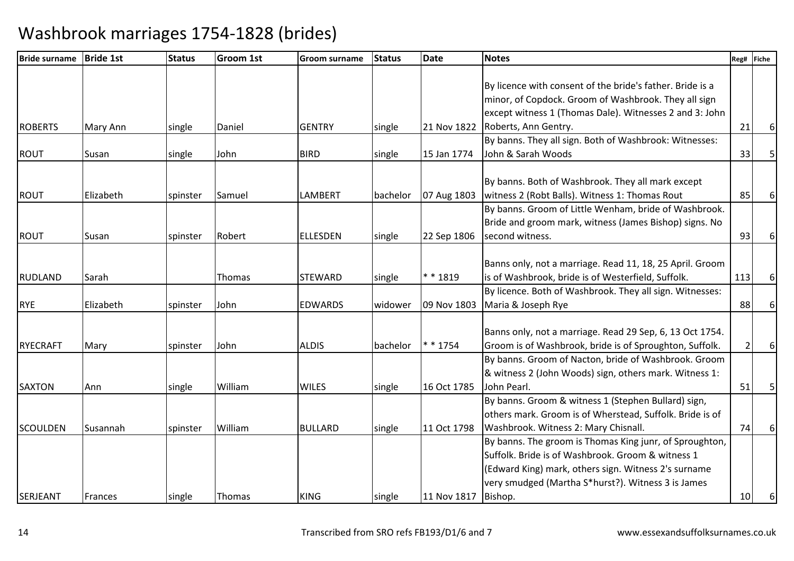| <b>Bride surname</b> | <b>Bride 1st</b> | <b>Status</b> | Groom 1st | <b>Groom surname</b> | <b>Status</b> | <b>Date</b> | <b>Notes</b>                                              |     | Reg# Fiche |
|----------------------|------------------|---------------|-----------|----------------------|---------------|-------------|-----------------------------------------------------------|-----|------------|
|                      |                  |               |           |                      |               |             |                                                           |     |            |
|                      |                  |               |           |                      |               |             | By licence with consent of the bride's father. Bride is a |     |            |
|                      |                  |               |           |                      |               |             | minor, of Copdock. Groom of Washbrook. They all sign      |     |            |
|                      |                  |               |           |                      |               |             | except witness 1 (Thomas Dale). Witnesses 2 and 3: John   |     |            |
| <b>ROBERTS</b>       | Mary Ann         | single        | Daniel    | <b>GENTRY</b>        | single        | 21 Nov 1822 | Roberts, Ann Gentry.                                      | 21  | 6          |
|                      |                  |               |           |                      |               |             | By banns. They all sign. Both of Washbrook: Witnesses:    |     |            |
| <b>ROUT</b>          | Susan            | single        | John      | <b>BIRD</b>          | single        | 15 Jan 1774 | John & Sarah Woods                                        | 33  | 5          |
|                      |                  |               |           |                      |               |             |                                                           |     |            |
|                      |                  |               |           |                      |               |             | By banns. Both of Washbrook. They all mark except         |     |            |
| <b>ROUT</b>          | Elizabeth        | spinster      | Samuel    | <b>LAMBERT</b>       | bachelor      | 07 Aug 1803 | witness 2 (Robt Balls). Witness 1: Thomas Rout            | 85  | 6          |
|                      |                  |               |           |                      |               |             | By banns. Groom of Little Wenham, bride of Washbrook.     |     |            |
|                      |                  |               |           |                      |               |             | Bride and groom mark, witness (James Bishop) signs. No    |     |            |
| <b>ROUT</b>          | Susan            | spinster      | Robert    | <b>ELLESDEN</b>      | single        | 22 Sep 1806 | second witness.                                           | 93  | 6          |
|                      |                  |               |           |                      |               |             |                                                           |     |            |
|                      |                  |               |           |                      |               |             | Banns only, not a marriage. Read 11, 18, 25 April. Groom  |     |            |
| <b>RUDLAND</b>       | Sarah            |               | Thomas    | <b>STEWARD</b>       | single        | $* * 1819$  | is of Washbrook, bride is of Westerfield, Suffolk.        | 113 | 6          |
|                      |                  |               |           |                      |               |             | By licence. Both of Washbrook. They all sign. Witnesses:  |     |            |
| <b>RYE</b>           | Elizabeth        | spinster      | John      | <b>EDWARDS</b>       | widower       | 09 Nov 1803 | Maria & Joseph Rye                                        | 88  | $6 \mid$   |
|                      |                  |               |           |                      |               |             |                                                           |     |            |
|                      |                  |               |           |                      |               |             | Banns only, not a marriage. Read 29 Sep, 6, 13 Oct 1754.  |     |            |
| <b>RYECRAFT</b>      | Mary             | spinster      | John      | <b>ALDIS</b>         | bachelor      | * * 1754    | Groom is of Washbrook, bride is of Sproughton, Suffolk.   | 2   | 6          |
|                      |                  |               |           |                      |               |             | By banns. Groom of Nacton, bride of Washbrook. Groom      |     |            |
|                      |                  |               |           |                      |               |             | & witness 2 (John Woods) sign, others mark. Witness 1:    |     |            |
| <b>SAXTON</b>        | Ann              | single        | William   | <b>WILES</b>         | single        | 16 Oct 1785 | John Pearl.                                               | 51  | 5          |
|                      |                  |               |           |                      |               |             | By banns. Groom & witness 1 (Stephen Bullard) sign,       |     |            |
|                      |                  |               |           |                      |               |             | others mark. Groom is of Wherstead, Suffolk. Bride is of  |     |            |
| <b>SCOULDEN</b>      | Susannah         | spinster      | William   | <b>BULLARD</b>       | single        | 11 Oct 1798 | Washbrook. Witness 2: Mary Chisnall.                      | 74  | 6          |
|                      |                  |               |           |                      |               |             | By banns. The groom is Thomas King junr, of Sproughton,   |     |            |
|                      |                  |               |           |                      |               |             | Suffolk. Bride is of Washbrook. Groom & witness 1         |     |            |
|                      |                  |               |           |                      |               |             | (Edward King) mark, others sign. Witness 2's surname      |     |            |
|                      |                  |               |           |                      |               |             | very smudged (Martha S*hurst?). Witness 3 is James        |     |            |
| <b>SERJEANT</b>      | Frances          | single        | Thomas    | <b>KING</b>          | single        | 11 Nov 1817 | Bishop.                                                   | 10  | 6          |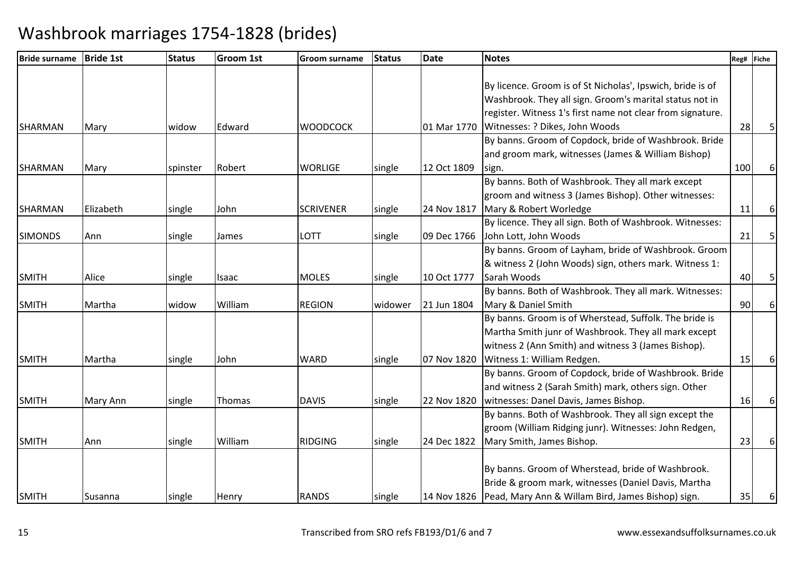| <b>Bride surname</b> | <b>Bride 1st</b> | <b>Status</b> | <b>Groom 1st</b> | <b>Groom surname</b> | <b>Status</b> | <b>Date</b> | <b>Notes</b>                                                  |     | Reg# Fiche |
|----------------------|------------------|---------------|------------------|----------------------|---------------|-------------|---------------------------------------------------------------|-----|------------|
|                      |                  |               |                  |                      |               |             |                                                               |     |            |
|                      |                  |               |                  |                      |               |             | By licence. Groom is of St Nicholas', Ipswich, bride is of    |     |            |
|                      |                  |               |                  |                      |               |             | Washbrook. They all sign. Groom's marital status not in       |     |            |
|                      |                  |               |                  |                      |               |             | register. Witness 1's first name not clear from signature.    |     |            |
| <b>SHARMAN</b>       | Mary             | widow         | Edward           | <b>WOODCOCK</b>      |               | 01 Mar 1770 | Witnesses: ? Dikes, John Woods                                | 28  | 5          |
|                      |                  |               |                  |                      |               |             | By banns. Groom of Copdock, bride of Washbrook. Bride         |     |            |
|                      |                  |               |                  |                      |               |             | and groom mark, witnesses (James & William Bishop)            |     |            |
| <b>SHARMAN</b>       | Mary             | spinster      | Robert           | <b>WORLIGE</b>       | single        | 12 Oct 1809 | sign.                                                         | 100 | 6          |
|                      |                  |               |                  |                      |               |             | By banns. Both of Washbrook. They all mark except             |     |            |
|                      |                  |               |                  |                      |               |             | groom and witness 3 (James Bishop). Other witnesses:          |     |            |
| <b>SHARMAN</b>       | Elizabeth        | single        | John             | <b>SCRIVENER</b>     | single        | 24 Nov 1817 | Mary & Robert Worledge                                        | 11  | 6          |
|                      |                  |               |                  |                      |               |             | By licence. They all sign. Both of Washbrook. Witnesses:      |     |            |
| <b>SIMONDS</b>       | Ann              | single        | James            | <b>LOTT</b>          | single        | 09 Dec 1766 | John Lott, John Woods                                         | 21  | 5          |
|                      |                  |               |                  |                      |               |             | By banns. Groom of Layham, bride of Washbrook. Groom          |     |            |
|                      |                  |               |                  |                      |               |             | & witness 2 (John Woods) sign, others mark. Witness 1:        |     |            |
| <b>SMITH</b>         | Alice            | single        | Isaac            | <b>MOLES</b>         | single        | 10 Oct 1777 | Sarah Woods                                                   | 40  | 5          |
|                      |                  |               |                  |                      |               |             | By banns. Both of Washbrook. They all mark. Witnesses:        |     |            |
| <b>SMITH</b>         | Martha           | widow         | William          | <b>REGION</b>        | widower       | 21 Jun 1804 | Mary & Daniel Smith                                           | 90  | 6          |
|                      |                  |               |                  |                      |               |             | By banns. Groom is of Wherstead, Suffolk. The bride is        |     |            |
|                      |                  |               |                  |                      |               |             | Martha Smith junr of Washbrook. They all mark except          |     |            |
|                      |                  |               |                  |                      |               |             | witness 2 (Ann Smith) and witness 3 (James Bishop).           |     |            |
| <b>SMITH</b>         | Martha           | single        | John             | <b>WARD</b>          | single        | 07 Nov 1820 | Witness 1: William Redgen.                                    | 15  | 6          |
|                      |                  |               |                  |                      |               |             | By banns. Groom of Copdock, bride of Washbrook. Bride         |     |            |
|                      |                  |               |                  |                      |               |             | and witness 2 (Sarah Smith) mark, others sign. Other          |     |            |
| <b>SMITH</b>         | Mary Ann         | single        | Thomas           | <b>DAVIS</b>         | single        | 22 Nov 1820 | witnesses: Danel Davis, James Bishop.                         | 16  | 6          |
|                      |                  |               |                  |                      |               |             | By banns. Both of Washbrook. They all sign except the         |     |            |
|                      |                  |               |                  |                      |               |             | groom (William Ridging junr). Witnesses: John Redgen,         |     |            |
| <b>SMITH</b>         | Ann              | single        | William          | <b>RIDGING</b>       | single        | 24 Dec 1822 | Mary Smith, James Bishop.                                     | 23  | 6          |
|                      |                  |               |                  |                      |               |             |                                                               |     |            |
|                      |                  |               |                  |                      |               |             | By banns. Groom of Wherstead, bride of Washbrook.             |     |            |
|                      |                  |               |                  |                      |               |             | Bride & groom mark, witnesses (Daniel Davis, Martha           |     |            |
| <b>SMITH</b>         | Susanna          | single        | Henry            | <b>RANDS</b>         | single        |             | 14 Nov 1826 Pead, Mary Ann & Willam Bird, James Bishop) sign. | 35  | 6          |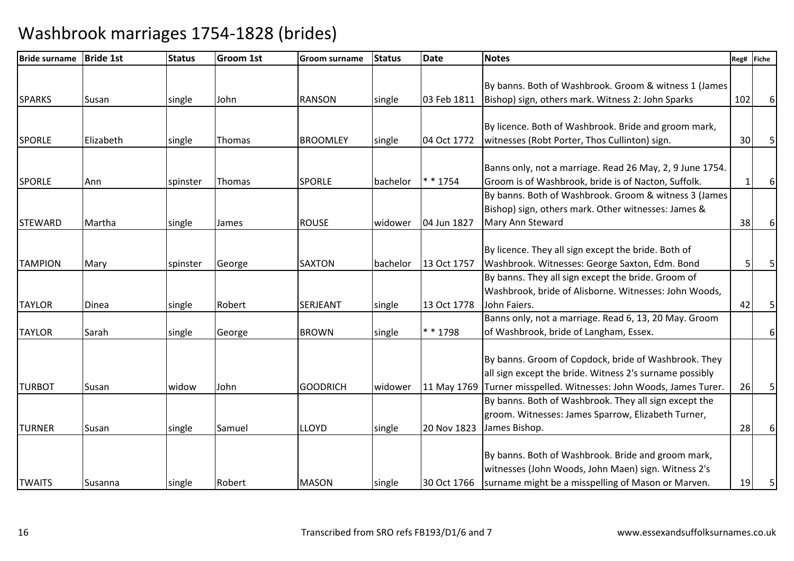| <b>Bride surname</b> | <b>Bride 1st</b> | <b>Status</b> | <b>Groom 1st</b> | <b>Groom surname</b> | <b>Status</b> | <b>Date</b> | <b>Notes</b>                                                       | Reg# | <b>Fiche</b> |
|----------------------|------------------|---------------|------------------|----------------------|---------------|-------------|--------------------------------------------------------------------|------|--------------|
|                      |                  |               |                  |                      |               |             |                                                                    |      |              |
|                      |                  |               |                  |                      |               |             | By banns. Both of Washbrook. Groom & witness 1 (James              |      |              |
| <b>SPARKS</b>        | Susan            | single        | John             | <b>RANSON</b>        | single        | 03 Feb 1811 | Bishop) sign, others mark. Witness 2: John Sparks                  | 102  |              |
|                      |                  |               |                  |                      |               |             |                                                                    |      |              |
|                      |                  |               |                  |                      |               |             | By licence. Both of Washbrook. Bride and groom mark,               |      |              |
| <b>SPORLE</b>        | Elizabeth        | single        | Thomas           | <b>BROOMLEY</b>      | single        | 04 Oct 1772 | witnesses (Robt Porter, Thos Cullinton) sign.                      | 30   |              |
|                      |                  |               |                  |                      |               |             |                                                                    |      |              |
|                      |                  |               |                  |                      |               |             | Banns only, not a marriage. Read 26 May, 2, 9 June 1754.           |      |              |
| <b>SPORLE</b>        | Ann              | spinster      | Thomas           | <b>SPORLE</b>        | bachelor      | * * 1754    | Groom is of Washbrook, bride is of Nacton, Suffolk.                |      | 6            |
|                      |                  |               |                  |                      |               |             | By banns. Both of Washbrook. Groom & witness 3 (James              |      |              |
|                      |                  |               |                  |                      |               |             | Bishop) sign, others mark. Other witnesses: James &                |      |              |
| <b>STEWARD</b>       | Martha           | single        | James            | <b>ROUSE</b>         | widower       | 04 Jun 1827 | Mary Ann Steward                                                   | 38   | 6            |
|                      |                  |               |                  |                      |               |             |                                                                    |      |              |
|                      |                  |               |                  |                      |               |             | By licence. They all sign except the bride. Both of                |      |              |
| <b>TAMPION</b>       | Mary             | spinster      | George           | <b>SAXTON</b>        | bachelor      | 13 Oct 1757 | Washbrook. Witnesses: George Saxton, Edm. Bond                     |      |              |
|                      |                  |               |                  |                      |               |             | By banns. They all sign except the bride. Groom of                 |      |              |
|                      |                  |               |                  |                      |               |             | Washbrook, bride of Alisborne. Witnesses: John Woods,              |      |              |
| <b>TAYLOR</b>        | Dinea            | single        | Robert           | SERJEANT             | single        | 13 Oct 1778 | John Faiers.                                                       | 42   | 5            |
|                      |                  |               |                  |                      |               |             | Banns only, not a marriage. Read 6, 13, 20 May. Groom              |      |              |
| <b>TAYLOR</b>        | Sarah            | single        | George           | <b>BROWN</b>         | single        | * * 1798    | of Washbrook, bride of Langham, Essex.                             |      | 6            |
|                      |                  |               |                  |                      |               |             |                                                                    |      |              |
|                      |                  |               |                  |                      |               |             | By banns. Groom of Copdock, bride of Washbrook. They               |      |              |
|                      |                  |               |                  |                      |               |             | all sign except the bride. Witness 2's surname possibly            |      |              |
| <b>TURBOT</b>        | Susan            | widow         | John             | <b>GOODRICH</b>      | widower       |             | 11 May 1769 Turner misspelled. Witnesses: John Woods, James Turer. | 26   |              |
|                      |                  |               |                  |                      |               |             | By banns. Both of Washbrook. They all sign except the              |      |              |
|                      |                  |               |                  |                      |               |             | groom. Witnesses: James Sparrow, Elizabeth Turner,                 |      |              |
| <b>TURNER</b>        | Susan            | single        | Samuel           | <b>LLOYD</b>         | single        | 20 Nov 1823 | James Bishop.                                                      | 28   |              |
|                      |                  |               |                  |                      |               |             |                                                                    |      |              |
|                      |                  |               |                  |                      |               |             | By banns. Both of Washbrook. Bride and groom mark,                 |      |              |
|                      |                  |               |                  |                      |               |             | witnesses (John Woods, John Maen) sign. Witness 2's                |      |              |
| <b>TWAITS</b>        | Susanna          | single        | Robert           | <b>MASON</b>         | single        | 30 Oct 1766 | surname might be a misspelling of Mason or Marven.                 | 19   | 5            |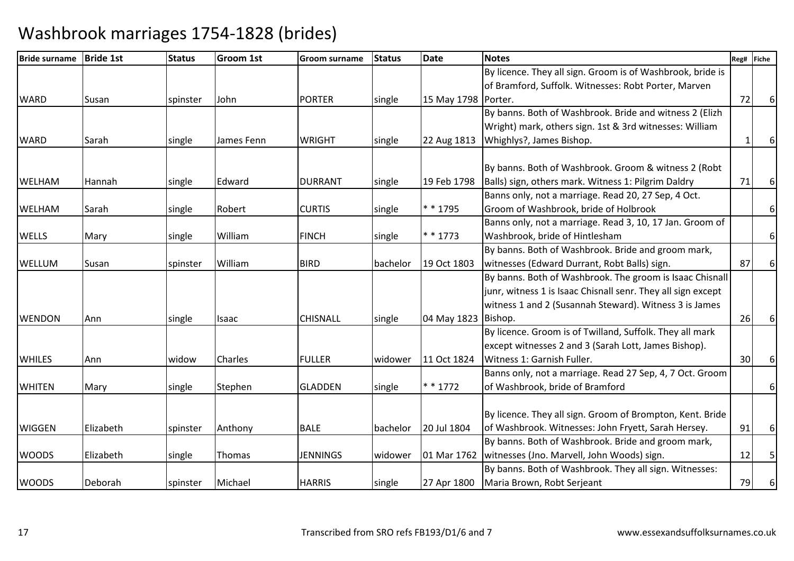| <b>Bride surname</b> | <b>Bride 1st</b> | <b>Status</b> | <b>Groom 1st</b> | <b>Groom surname</b> | <b>Status</b> | Date                | <b>Notes</b>                                                 | Reg# | Fiche          |
|----------------------|------------------|---------------|------------------|----------------------|---------------|---------------------|--------------------------------------------------------------|------|----------------|
|                      |                  |               |                  |                      |               |                     | By licence. They all sign. Groom is of Washbrook, bride is   |      |                |
|                      |                  |               |                  |                      |               |                     | of Bramford, Suffolk. Witnesses: Robt Porter, Marven         |      |                |
| <b>WARD</b>          | Susan            | spinster      | John             | <b>PORTER</b>        | single        | 15 May 1798 Porter. |                                                              | 72   | <sup>6</sup>   |
|                      |                  |               |                  |                      |               |                     | By banns. Both of Washbrook. Bride and witness 2 (Elizh      |      |                |
|                      |                  |               |                  |                      |               |                     | Wright) mark, others sign. 1st & 3rd witnesses: William      |      |                |
| <b>WARD</b>          | Sarah            | single        | James Fenn       | <b>WRIGHT</b>        | single        | 22 Aug 1813         | Whighlys?, James Bishop.                                     | 1    | $6 \mid$       |
|                      |                  |               |                  |                      |               |                     |                                                              |      |                |
|                      |                  |               |                  |                      |               |                     | By banns. Both of Washbrook. Groom & witness 2 (Robt         |      |                |
| <b>WELHAM</b>        | Hannah           | single        | Edward           | <b>DURRANT</b>       | single        | 19 Feb 1798         | Balls) sign, others mark. Witness 1: Pilgrim Daldry          | 71   | 6              |
|                      |                  |               |                  |                      |               |                     | Banns only, not a marriage. Read 20, 27 Sep, 4 Oct.          |      |                |
| <b>WELHAM</b>        | Sarah            | single        | Robert           | <b>CURTIS</b>        | single        | $* * 1795$          | Groom of Washbrook, bride of Holbrook                        |      | $6 \mid$       |
|                      |                  |               |                  |                      |               |                     | Banns only, not a marriage. Read 3, 10, 17 Jan. Groom of     |      |                |
| <b>WELLS</b>         | Mary             | single        | William          | <b>FINCH</b>         | single        | $* * 1773$          | Washbrook, bride of Hintlesham                               |      | 6 <sup>1</sup> |
|                      |                  |               |                  |                      |               |                     | By banns. Both of Washbrook. Bride and groom mark,           |      |                |
| WELLUM               | Susan            | spinster      | William          | <b>BIRD</b>          | bachelor      | 19 Oct 1803         | witnesses (Edward Durrant, Robt Balls) sign.                 | 87   | 6              |
|                      |                  |               |                  |                      |               |                     | By banns. Both of Washbrook. The groom is Isaac Chisnall     |      |                |
|                      |                  |               |                  |                      |               |                     | junr, witness 1 is Isaac Chisnall senr. They all sign except |      |                |
|                      |                  |               |                  |                      |               |                     | witness 1 and 2 (Susannah Steward). Witness 3 is James       |      |                |
| <b>WENDON</b>        | Ann              | single        | Isaac            | <b>CHISNALL</b>      | single        | 04 May 1823 Bishop. |                                                              | 26   | 6              |
|                      |                  |               |                  |                      |               |                     | By licence. Groom is of Twilland, Suffolk. They all mark     |      |                |
|                      |                  |               |                  |                      |               |                     | except witnesses 2 and 3 (Sarah Lott, James Bishop).         |      |                |
| <b>WHILES</b>        | Ann              | widow         | Charles          | <b>FULLER</b>        | widower       | 11 Oct 1824         | Witness 1: Garnish Fuller.                                   | 30   | 6              |
|                      |                  |               |                  |                      |               |                     | Banns only, not a marriage. Read 27 Sep, 4, 7 Oct. Groom     |      |                |
| <b>WHITEN</b>        | Mary             | single        | Stephen          | <b>GLADDEN</b>       | single        | $* * 1772$          | of Washbrook, bride of Bramford                              |      | $6\vert$       |
|                      |                  |               |                  |                      |               |                     |                                                              |      |                |
|                      |                  |               |                  |                      |               |                     | By licence. They all sign. Groom of Brompton, Kent. Bride    |      |                |
| <b>WIGGEN</b>        | Elizabeth        | spinster      | Anthony          | <b>BALE</b>          | bachelor      | 20 Jul 1804         | of Washbrook. Witnesses: John Fryett, Sarah Hersey.          | 91   | $6 \mid$       |
|                      |                  |               |                  |                      |               |                     | By banns. Both of Washbrook. Bride and groom mark,           |      |                |
| <b>WOODS</b>         | Elizabeth        | single        | Thomas           | <b>JENNINGS</b>      | widower       | 01 Mar 1762         | witnesses (Jno. Marvell, John Woods) sign.                   | 12   | 5              |
|                      |                  |               |                  |                      |               |                     | By banns. Both of Washbrook. They all sign. Witnesses:       |      |                |
| <b>WOODS</b>         | Deborah          | spinster      | Michael          | <b>HARRIS</b>        | single        | 27 Apr 1800         | Maria Brown, Robt Serjeant                                   | 79   | $6 \mid$       |